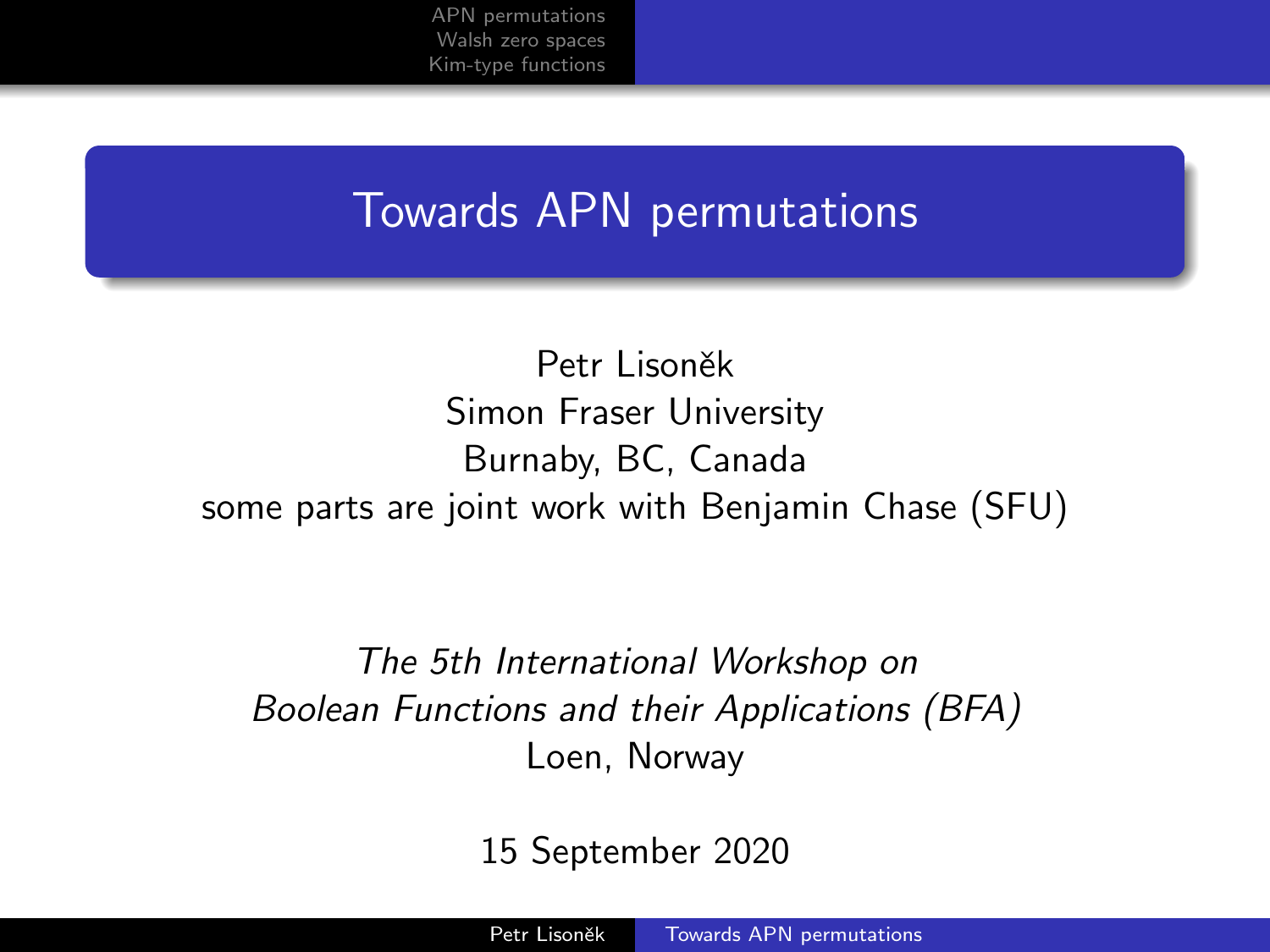## <span id="page-0-0"></span>Towards APN permutations

Petr Lisoněk Simon Fraser University Burnaby, BC, Canada some parts are joint work with Benjamin Chase (SFU)

The 5th International Workshop on Boolean Functions and their Applications (BFA) Loen, Norway

15 September 2020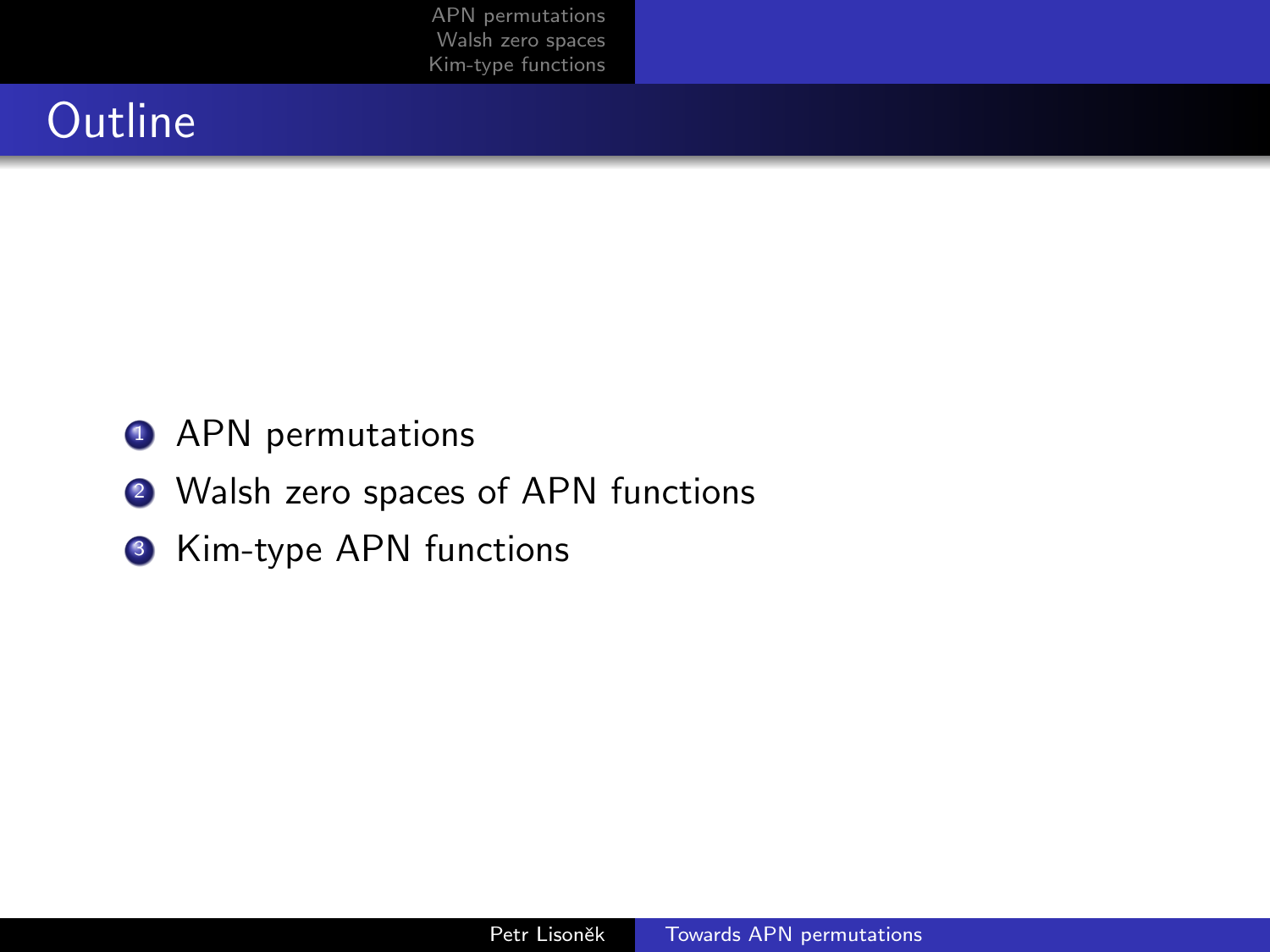## **Outline**

- **1** APN permutations
- <sup>2</sup> Walsh zero spaces of APN functions
- **3** Kim-type APN functions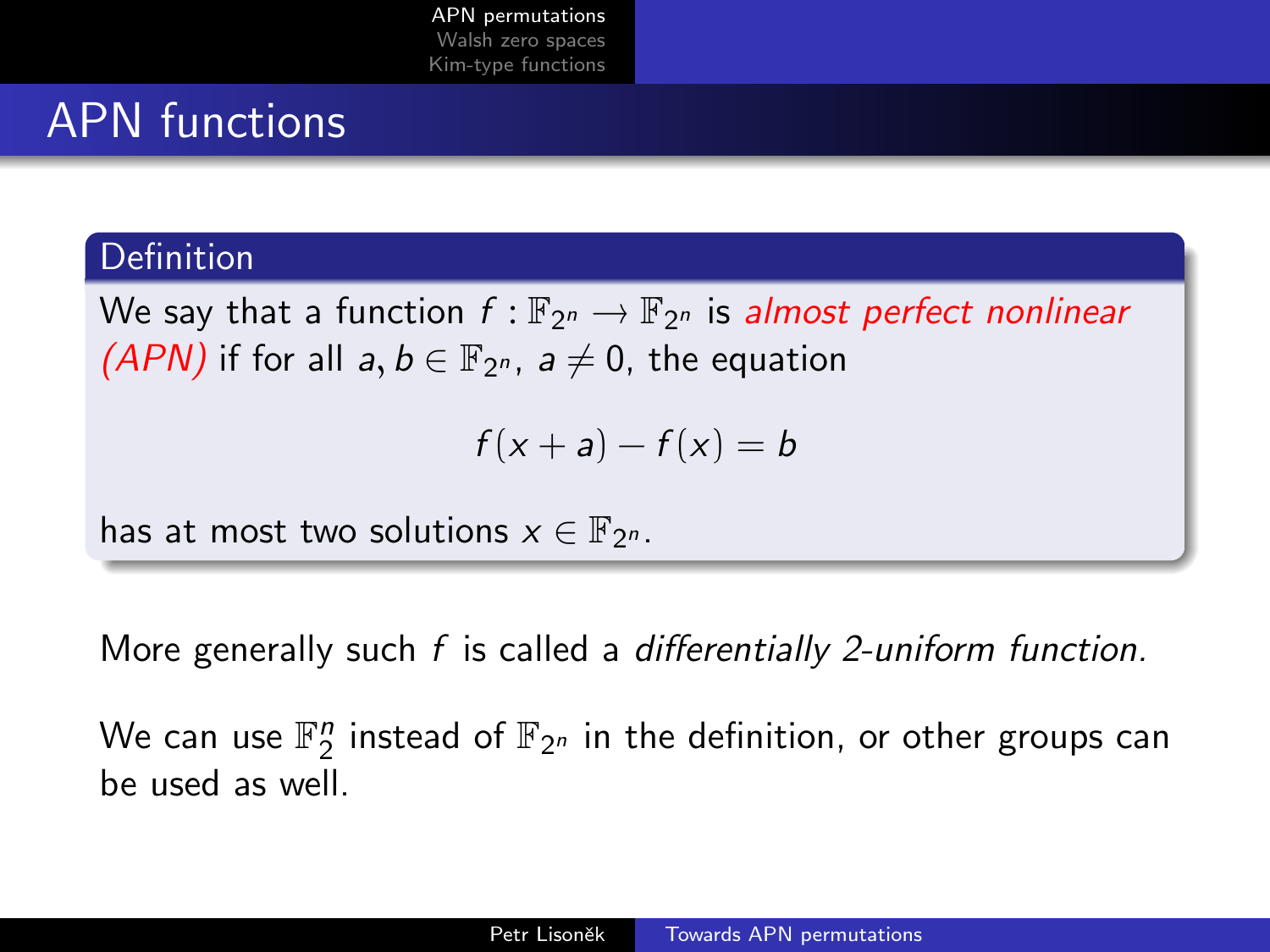## <span id="page-2-0"></span>APN functions

#### **Definition**

We say that a function  $f : \mathbb{F}_{2^n} \to \mathbb{F}_{2^n}$  is almost perfect nonlinear  $(ADM)$  if famille  $h \in \mathbb{F}$  $(PAN)$  if for all  $a, b \in \mathbb{F}_{2^n}$ ,  $a \neq 0$ , the equation

$$
f(x+a)-f(x)=b
$$

has at most two solutions  $x \in \mathbb{F}_{2^n}$ .

More generally such f is called a differentially 2-uniform function.

We can use  $\mathbb{F}_2^n$  instead of  $\mathbb{F}_{2^n}$  in the definition, or other groups can be used as well.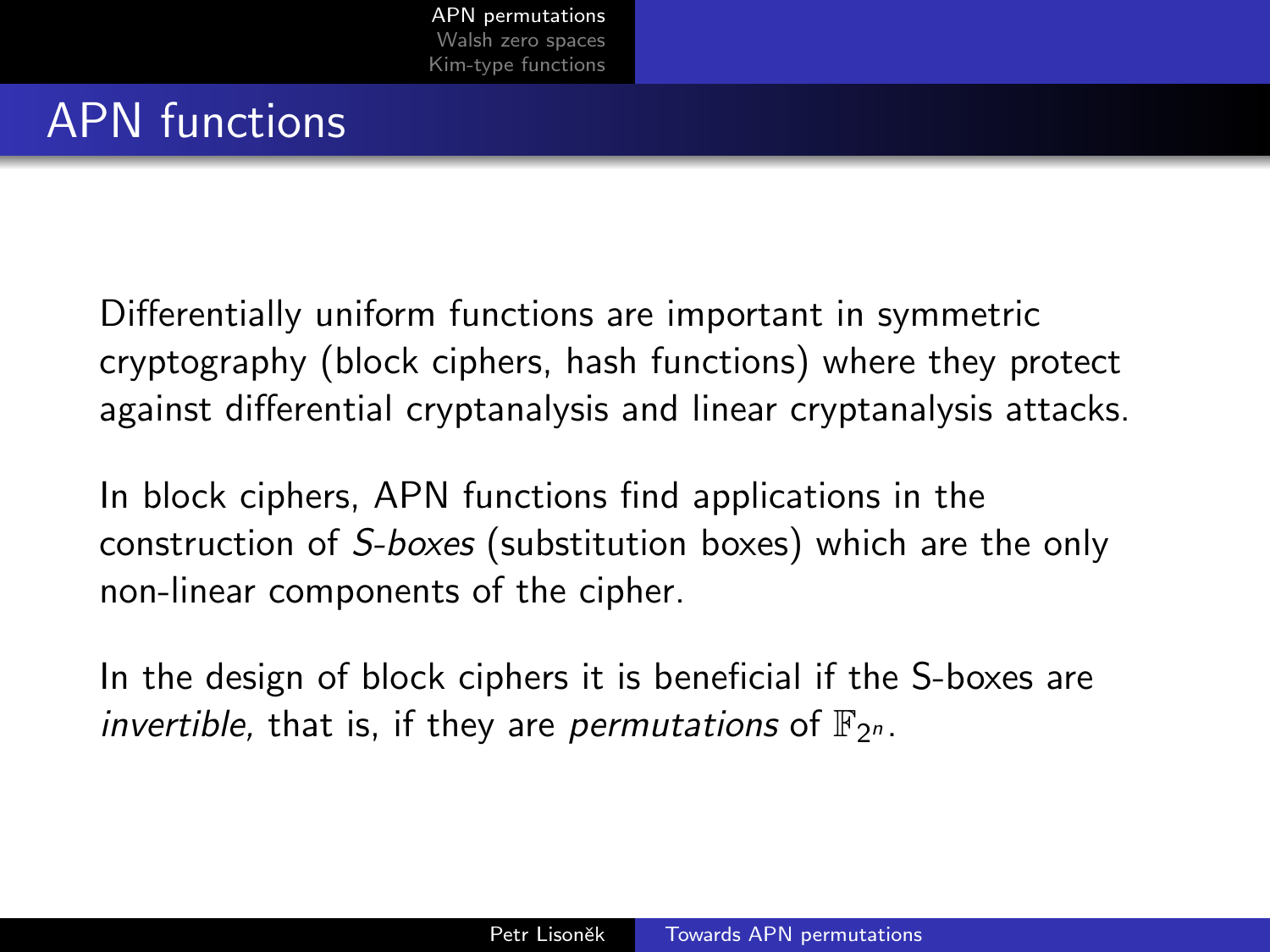## APN functions

Differentially uniform functions are important in symmetric cryptography (block ciphers, hash functions) where they protect against differential cryptanalysis and linear cryptanalysis attacks.

In block ciphers, APN functions find applications in the construction of S-boxes (substitution boxes) which are the only non-linear components of the cipher.

In the design of block ciphers it is beneficial if the S-boxes are invertible, that is, if they are permutations of  $\mathbb{F}_{2^n}$ .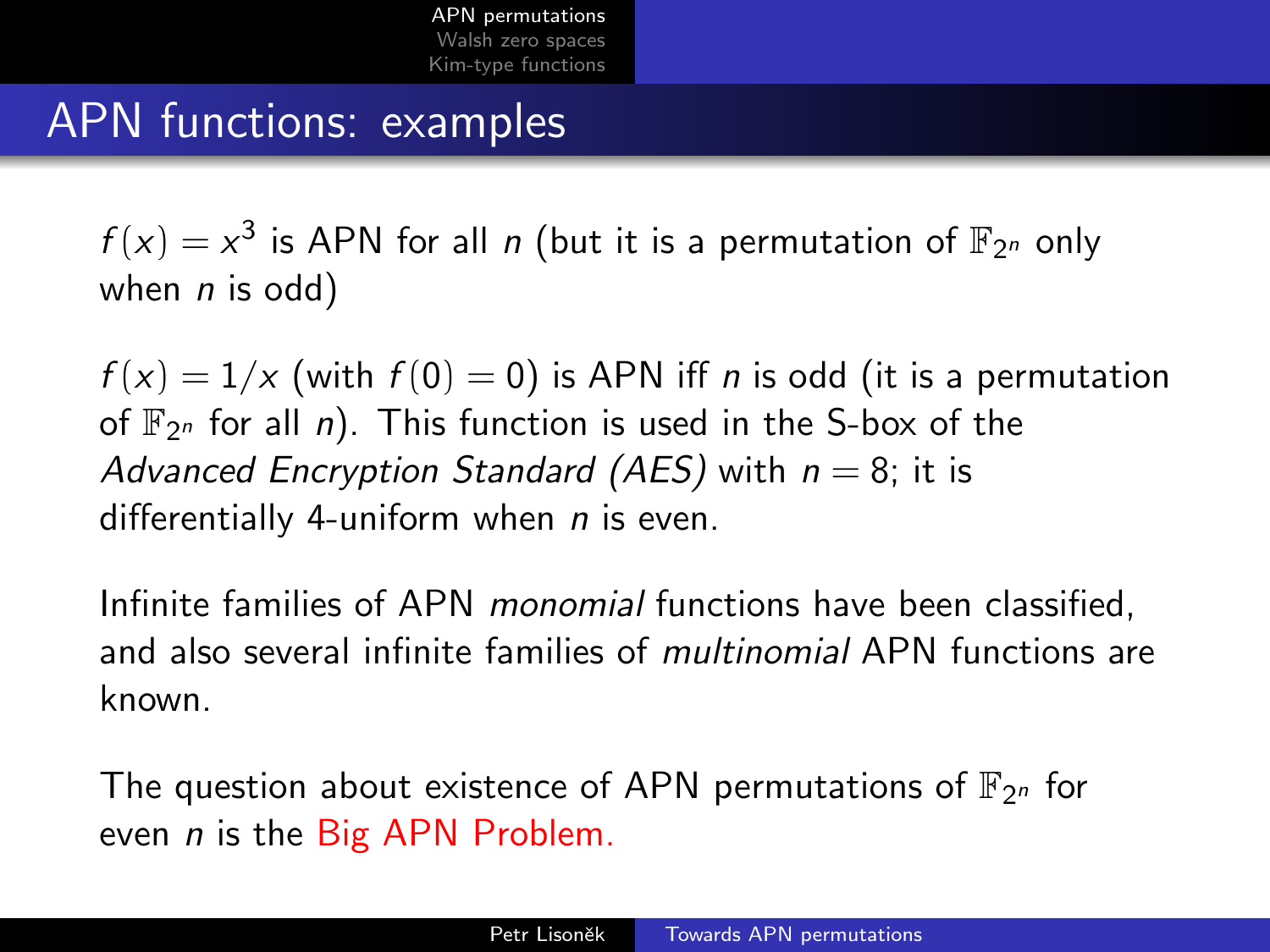## APN functions: examples

 $f(x) = x^3$  is APN for all n (but it is a permutation of  $\mathbb{F}_{2^n}$  only when  $n$  is odd)

 $f(x) = 1/x$  (with  $f(0) = 0$ ) is APN iff *n* is odd (it is a permutation of  $\mathbb{F}_{2^n}$  for all *n*). This function is used in the S-box of the Advanced Encryption Standard (AES) with  $n = 8$ ; it is differentially 4-uniform when  $n$  is even.

Infinite families of APN monomial functions have been classified, and also several infinite families of multinomial APN functions are known.

The question about existence of APN permutations of  $\mathbb{F}_{2^n}$  for even *n* is the Big APN Problem.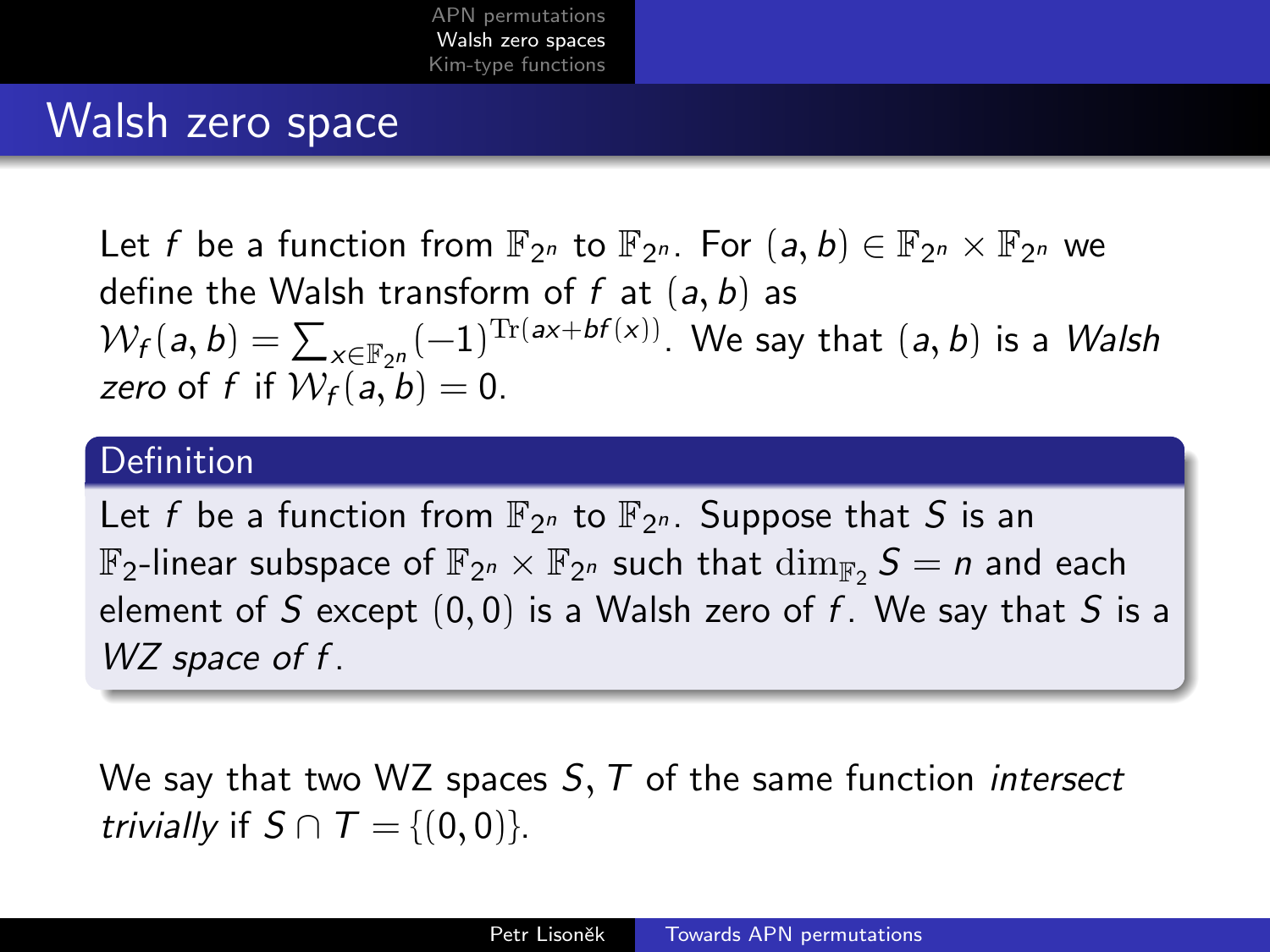### <span id="page-5-0"></span>Walsh zero space

Let f be a function from  $\mathbb{F}_{2^n}$  to  $\mathbb{F}_{2^n}$ . For  $(a, b) \in \mathbb{F}_{2^n} \times \mathbb{F}_{2^n}$  we define the Walsh transform of f at  $(a, b)$  as  $W_f(a, b) = \sum_{x \in \mathbb{F}_{2^n}} (-1)^{\text{Tr}(ax + bf(x))}$ . We say that  $(a, b)$  is a Walsh zero of f if  $W_f(a, b) = 0$ .

#### **Definition**

Let f be a function from  $\mathbb{F}_{2^n}$  to  $\mathbb{F}_{2^n}$ . Suppose that S is an  $\mathbb{F}_2$ -linear subspace of  $\mathbb{F}_{2^n}\times \mathbb{F}_{2^n}$  such that  $\dim_{\mathbb{F}_2} S=n$  and each element of S except  $(0, 0)$  is a Walsh zero of f. We say that S is a WZ space of f.

We say that two WZ spaces  $S, T$  of the same function *intersect* trivially if  $S \cap T = \{(0, 0)\}.$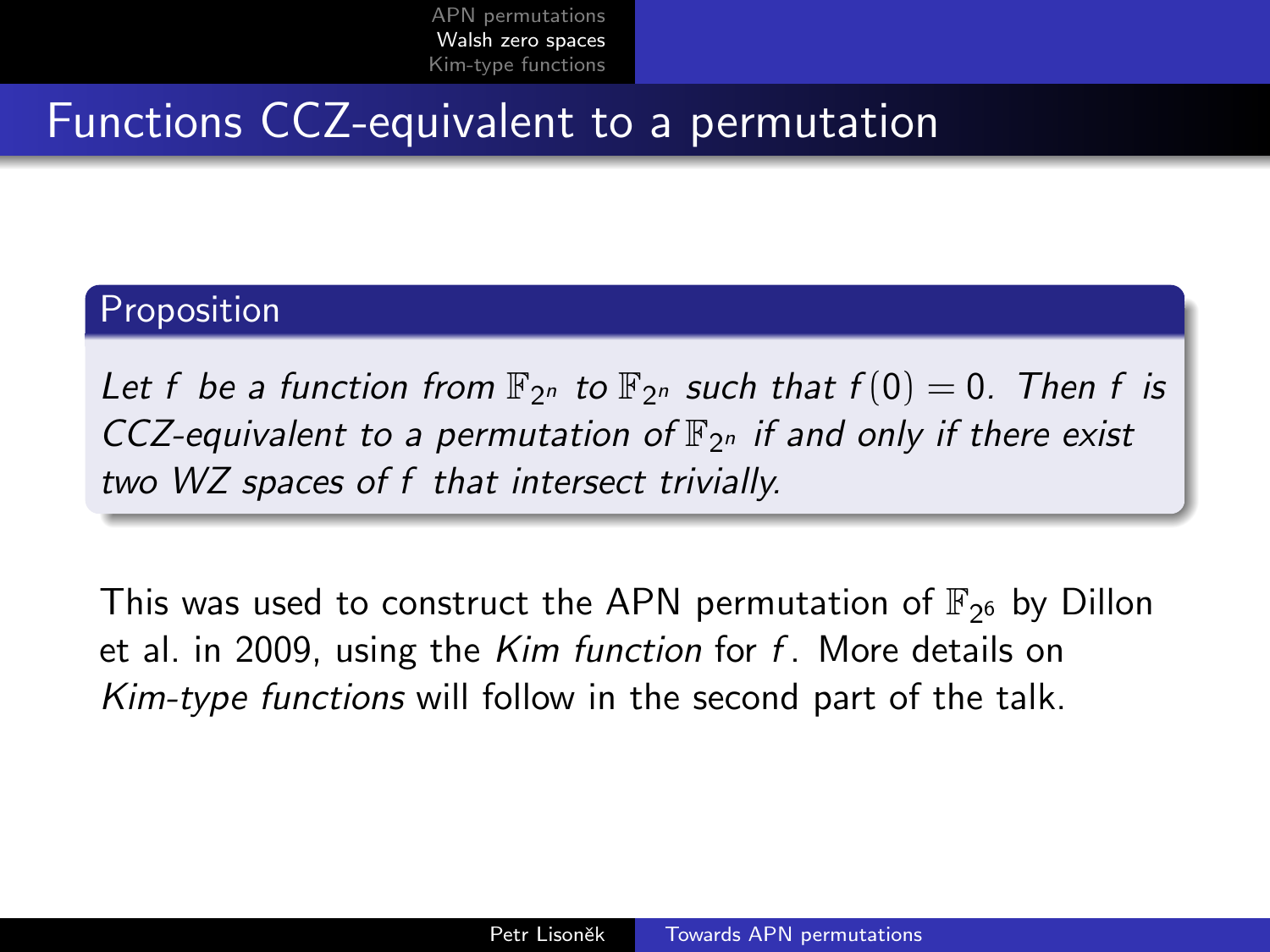### Functions CCZ-equivalent to a permutation

#### Proposition

Let f be a function from  $\mathbb{F}_{2^n}$  to  $\mathbb{F}_{2^n}$  such that  $f(0) = 0$ . Then f is CCZ-equivalent to a permutation of  $\mathbb{F}_{2^n}$  if and only if there exist two WZ spaces of f that intersect trivially.

This was used to construct the APN permutation of  $\mathbb{F}_{2^6}$  by Dillon et al. in 2009, using the  $Kim$  function for  $f$ . More details on Kim-type functions will follow in the second part of the talk.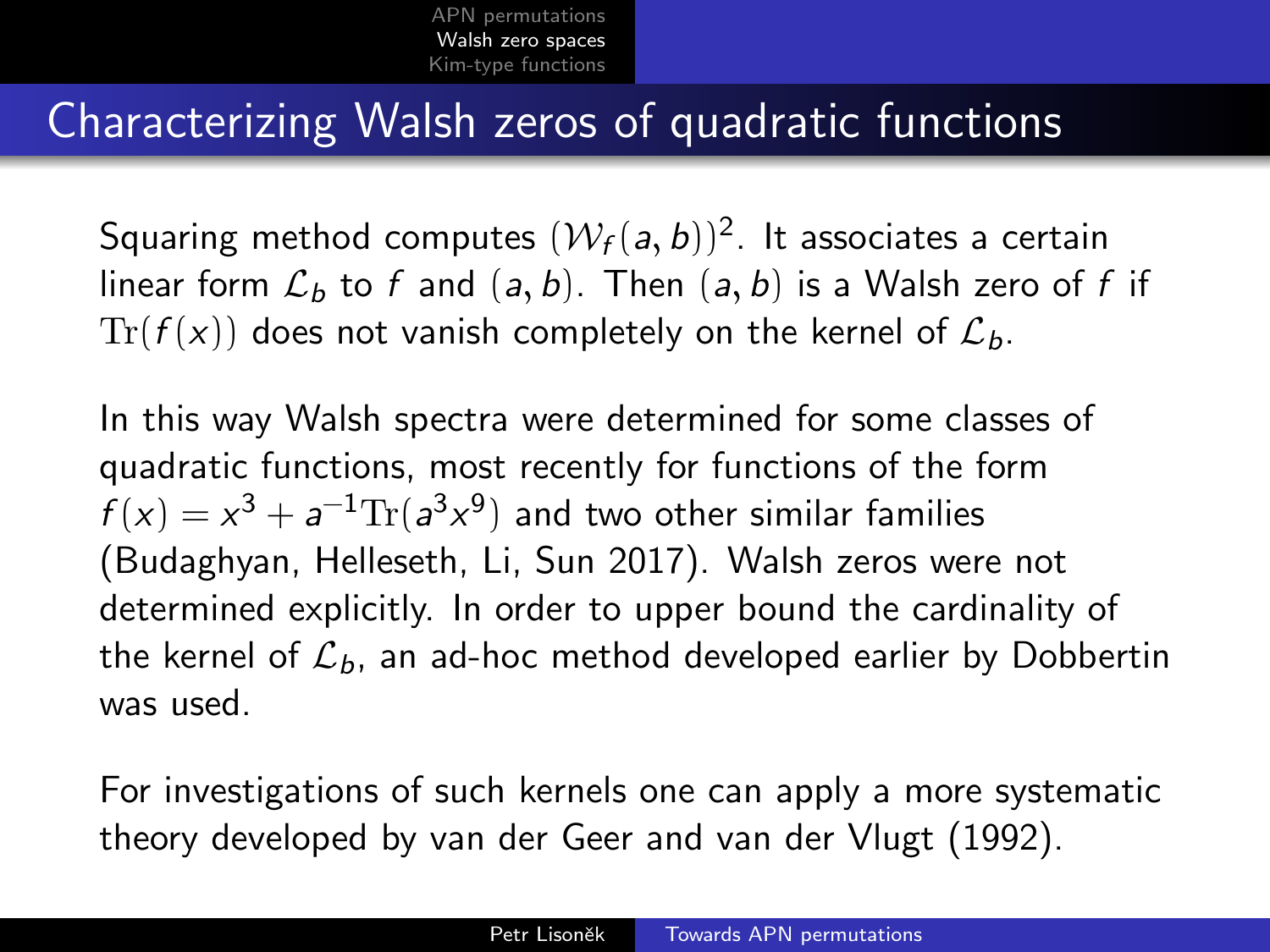### Characterizing Walsh zeros of quadratic functions

Squaring method computes  $(\mathcal{W}_f(\mathsf{a},\mathsf{b}))^2.$  It associates a certain linear form  $\mathcal{L}_b$  to f and  $(a, b)$ . Then  $(a, b)$  is a Walsh zero of f if  $Tr(f(x))$  does not vanish completely on the kernel of  $\mathcal{L}_b$ .

In this way Walsh spectra were determined for some classes of quadratic functions, most recently for functions of the form  $f(x) = x^3 + a^{-1} \text{Tr}(a^3 x^9)$  and two other similar families (Budaghyan, Helleseth, Li, Sun 2017). Walsh zeros were not determined explicitly. In order to upper bound the cardinality of the kernel of  $\mathcal{L}_b$ , an ad-hoc method developed earlier by Dobbertin was used.

For investigations of such kernels one can apply a more systematic theory developed by van der Geer and van der Vlugt (1992).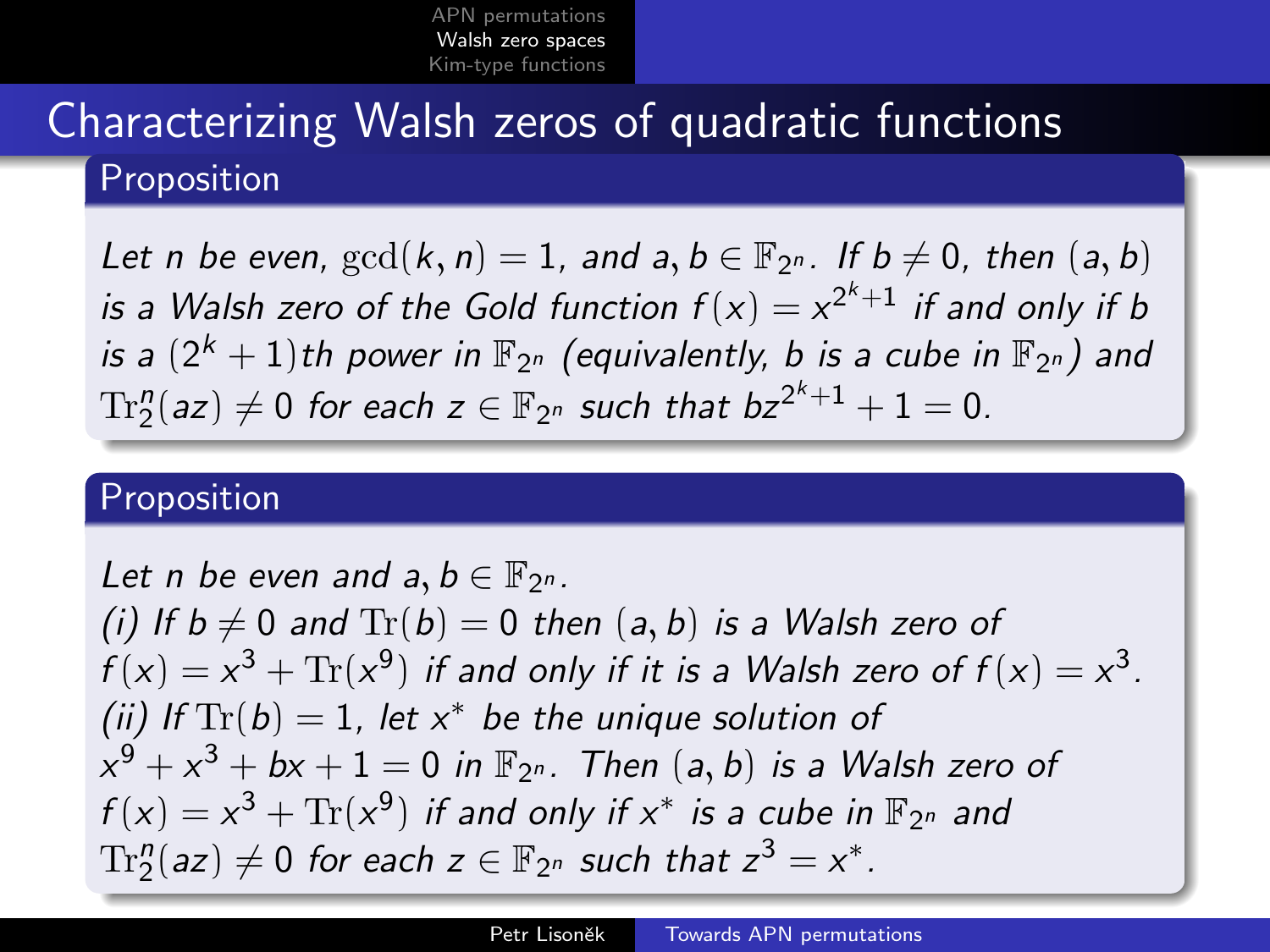## Characterizing Walsh zeros of quadratic functions Proposition

Let n be even,  $gcd(k, n) = 1$ , and  $a, b \in \mathbb{F}_{2^n}$ . If  $b \neq 0$ , then  $(a, b)$ is a Walsh zero of the Gold function  $f(x) = x^{2^k+1}$  if and only if b is a  $(2^k+1)$ th power in  $\mathbb{F}_{2^n}$  (equivalently, b is a cube in  $\mathbb{F}_{2^n})$  and  $\text{Tr}_2^n(az)\neq 0$  for each  $z\in \mathbb{F}_{2^n}$  such that  $bz^{2^k+1}+1=0.$ 

#### Proposition

Let n be even and  $a, b \in \mathbb{F}_{2^n}$ . (i) If  $b \neq 0$  and  $Tr(b) = 0$  then  $(a, b)$  is a Walsh zero of  $f(x) = x^3 + \text{Tr}(x^9)$  if and only if it is a Walsh zero of  $f(x) = x^3$ . (ii) If  $\text{Tr}(b) = 1$ , let  $x^*$  be the unique solution of  $x^9 + x^3 + bx + 1 = 0$  in  $\mathbb{F}_{2^n}$ . Then  $(a, b)$  is a Walsh zero of  $f(x) = x^3 + \text{Tr}(x^9)$  if and only if  $x^*$  is a cube in  $\mathbb{F}_{2^n}$  and  $\text{Tr}_{2}^n (az) \neq 0$  for each  $z \in \mathbb{F}_{2^n}$  such that  $z^3 = x^*.$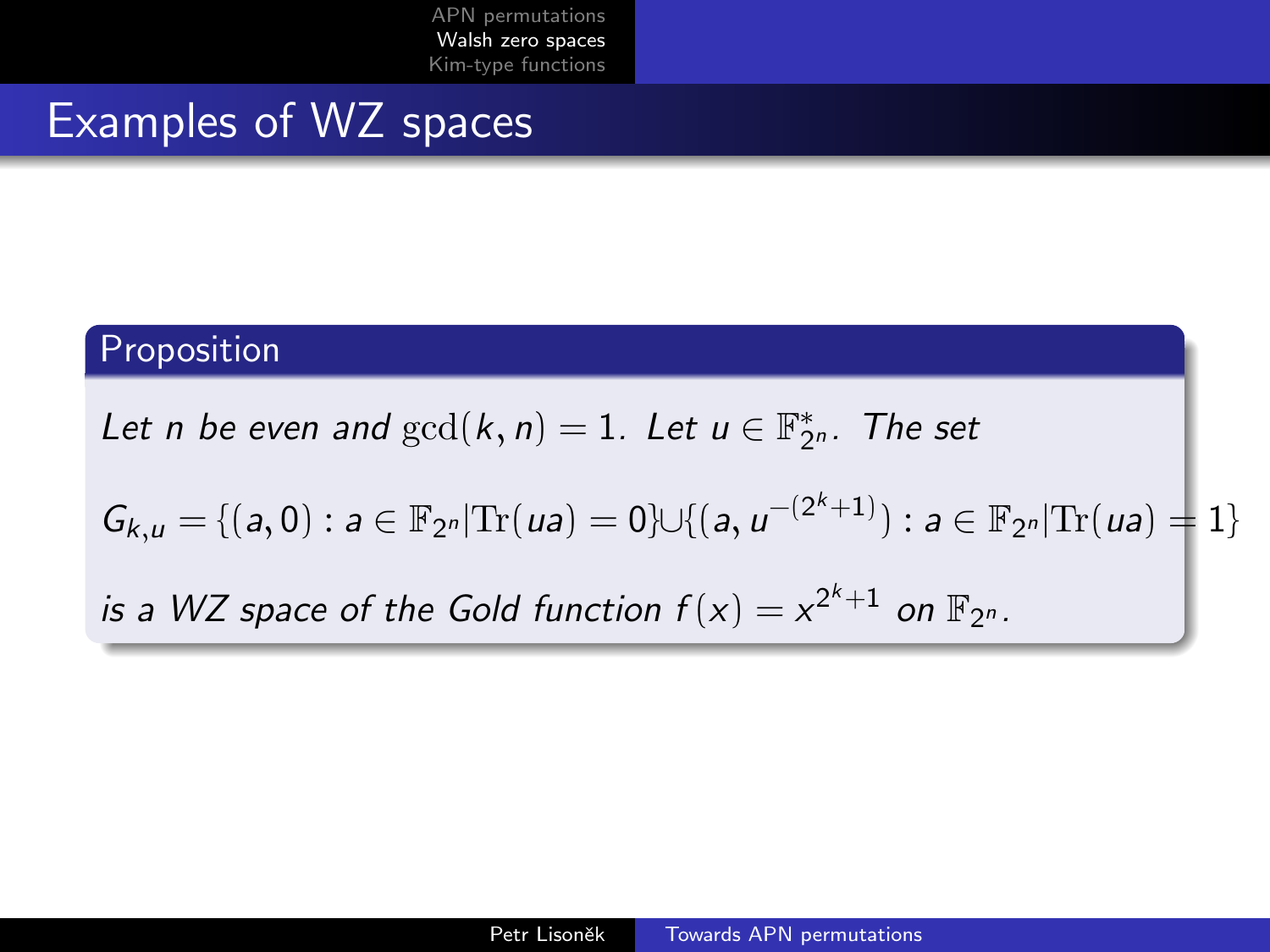### Examples of WZ spaces

#### Proposition

Let n be even and  $gcd(k, n) = 1$ . Let  $u \in \mathbb{F}_{2^n}^*$ . The set

 $G_{k,u} = \{(a, 0) : a \in \mathbb{F}_{2^n} | \text{Tr}(ua) = 0\} \cup \{(a, u^{-(2^k+1)}) : a \in \mathbb{F}_{2^n} | \text{Tr}(ua) = 1\}$ 

is a WZ space of the Gold function  $f(x) = x^{2^k+1}$  on  $\mathbb{F}_{2^n}$ .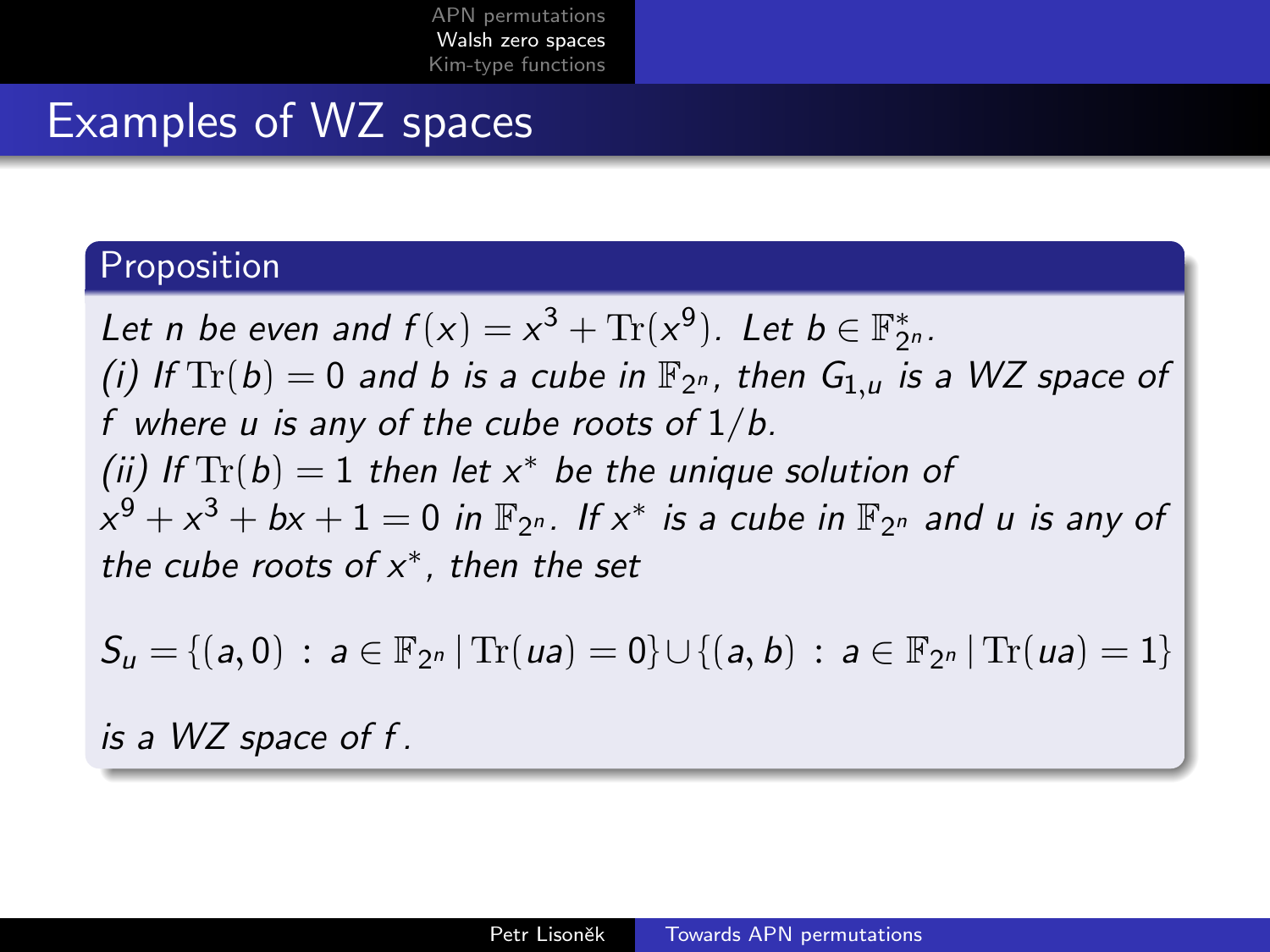### Examples of WZ spaces

#### Proposition

Let n be even and  $f(x) = x^3 + \text{Tr}(x^9)$ . Let  $b \in \mathbb{F}_{2^n}^*$ . (i) If  $\text{Tr}(b) = 0$  and b is a cube in  $\mathbb{F}_{2^n}$ , then  $G_{1,u}$  is a WZ space of f where u is any of the cube roots of  $1/b$ . (ii) If  $\text{Tr}(b) = 1$  then let  $x^*$  be the unique solution of  $x^9 + x^3 + bx + 1 = 0$  in  $\mathbb{F}_{2^n}$ . If  $x^*$  is a cube in  $\mathbb{F}_{2^n}$  and  $u$  is any of the cube roots of  $x^*$ , then the set

 $S_u = \{(a, 0) : a \in \mathbb{F}_{2^n} | \text{Tr}(ua) = 0\} \cup \{(a, b) : a \in \mathbb{F}_{2^n} | \text{Tr}(ua) = 1\}$ 

is a WZ space of f .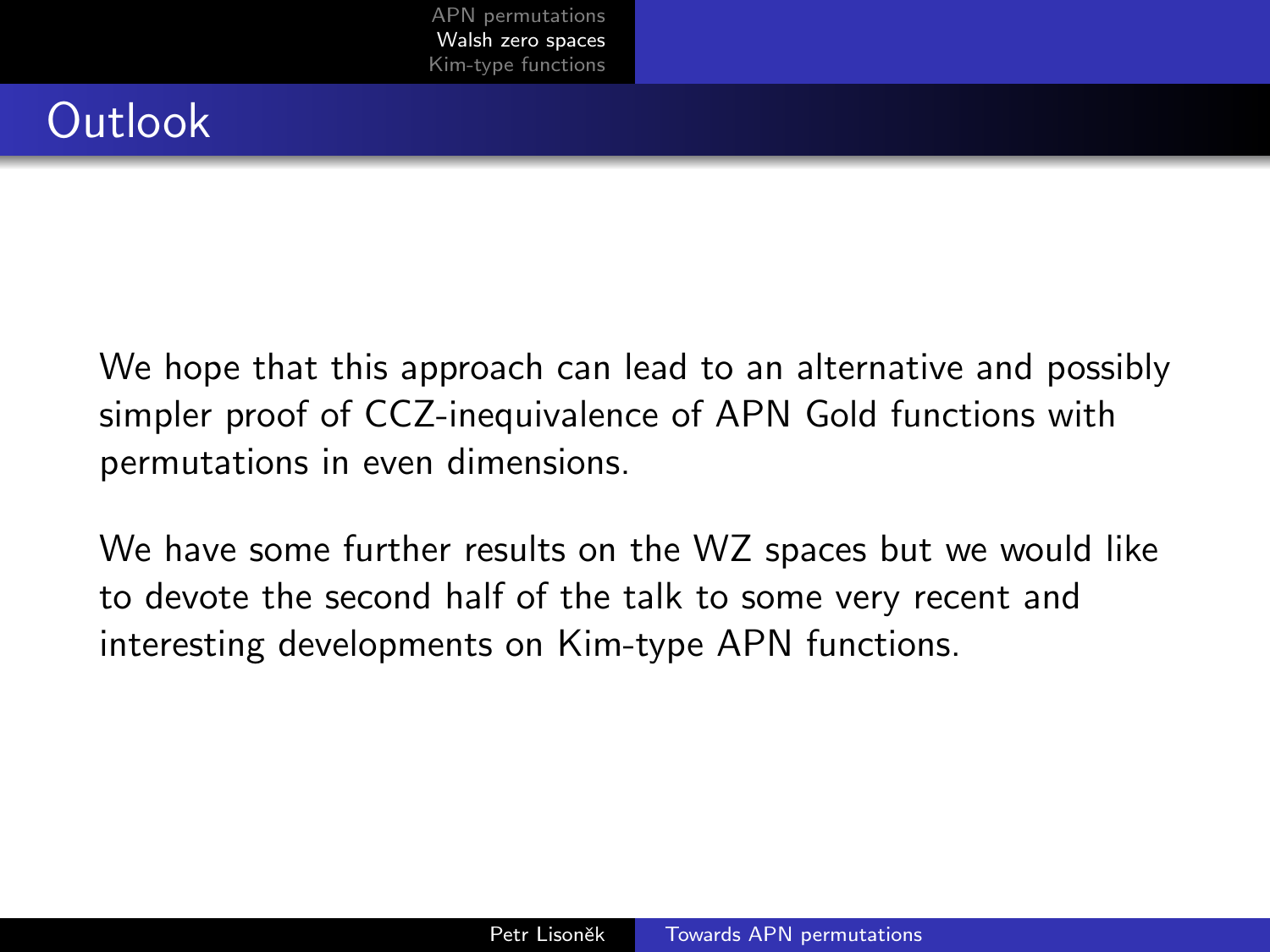## **Outlook**

We hope that this approach can lead to an alternative and possibly simpler proof of CCZ-inequivalence of APN Gold functions with permutations in even dimensions.

We have some further results on the WZ spaces but we would like to devote the second half of the talk to some very recent and interesting developments on Kim-type APN functions.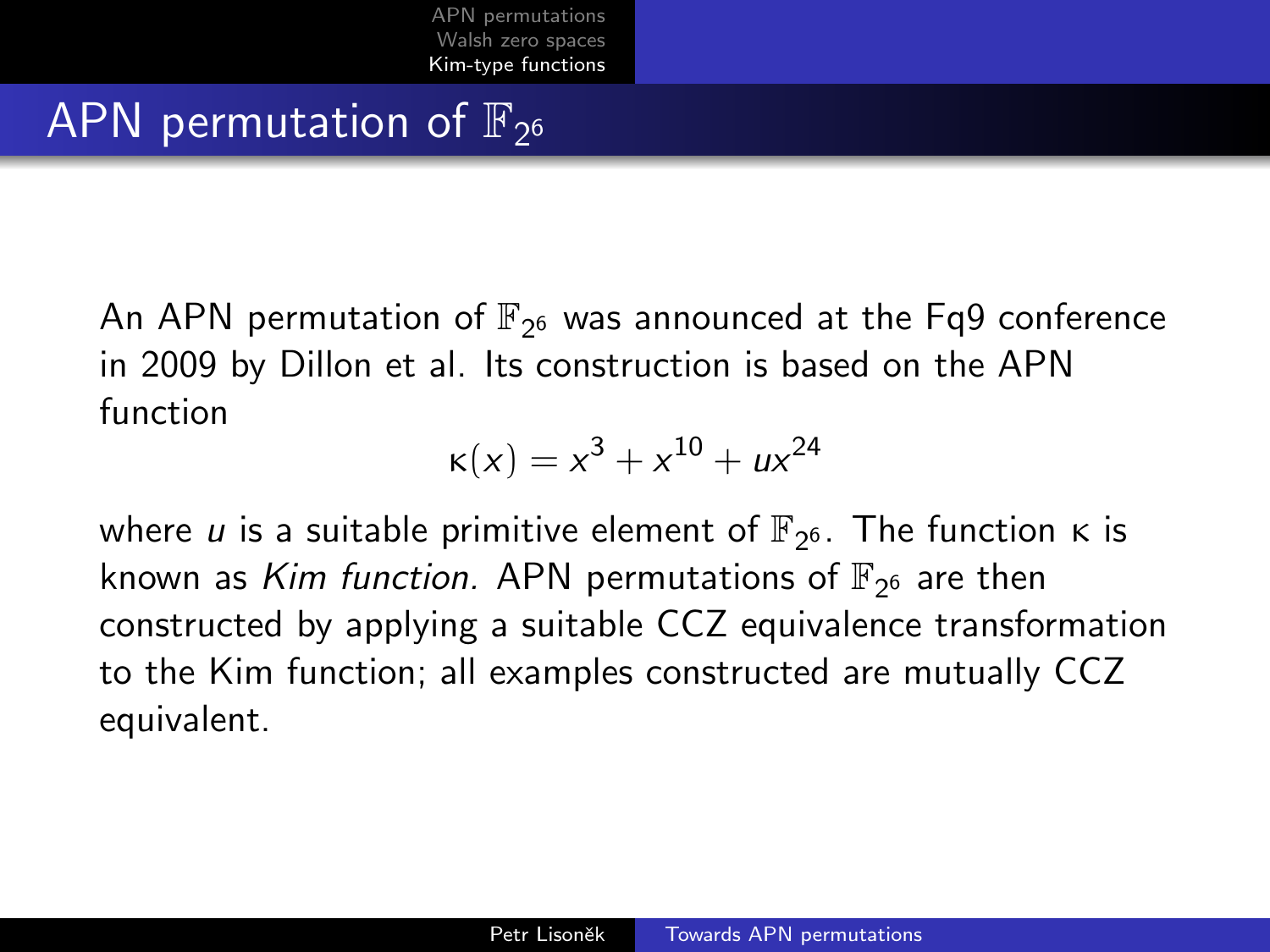# <span id="page-12-0"></span>APN permutation of  $\mathbb{F}_{2^6}$

An APN permutation of  $\mathbb{F}_{2^6}$  was announced at the Fq9 conference in 2009 by Dillon et al. Its construction is based on the APN function

$$
\kappa(x) = x^3 + x^{10} + ux^{24}
$$

where  $u$  is a suitable primitive element of  $\mathbb{F}_{2^6}.$  The function  $\kappa$  is known as *Kim function.* APN permutations of  $\mathbb{F}_{2^6}$  are then constructed by applying a suitable CCZ equivalence transformation to the Kim function; all examples constructed are mutually CCZ equivalent.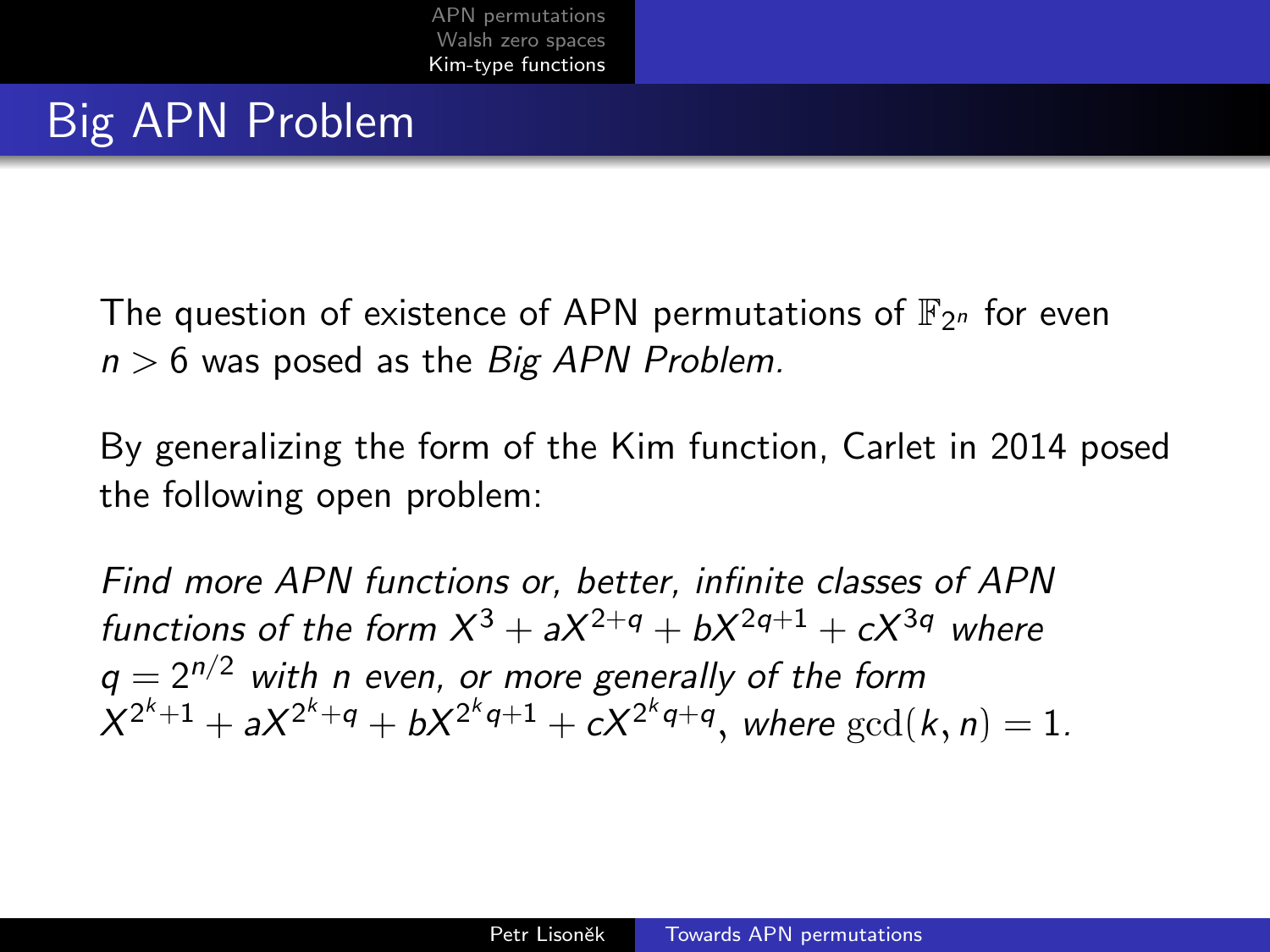## Big APN Problem

The question of existence of APN permutations of  $\mathbb{F}_{2^n}$  for even  $n > 6$  was posed as the Big APN Problem.

By generalizing the form of the Kim function, Carlet in 2014 posed the following open problem:

Find more APN functions or, better, infinite classes of APN functions of the form  $X^3 + aX^{2+q} + bX^{2q+1} + cX^{3q}$  where  $q = 2^{n/2}$  with n even, or more generally of the form  $X^{2^k+1} + aX^{2^k+q} + bX^{2^kq+1} + cX^{2^kq+q}$ , where  $\gcd(k, n) = 1$ .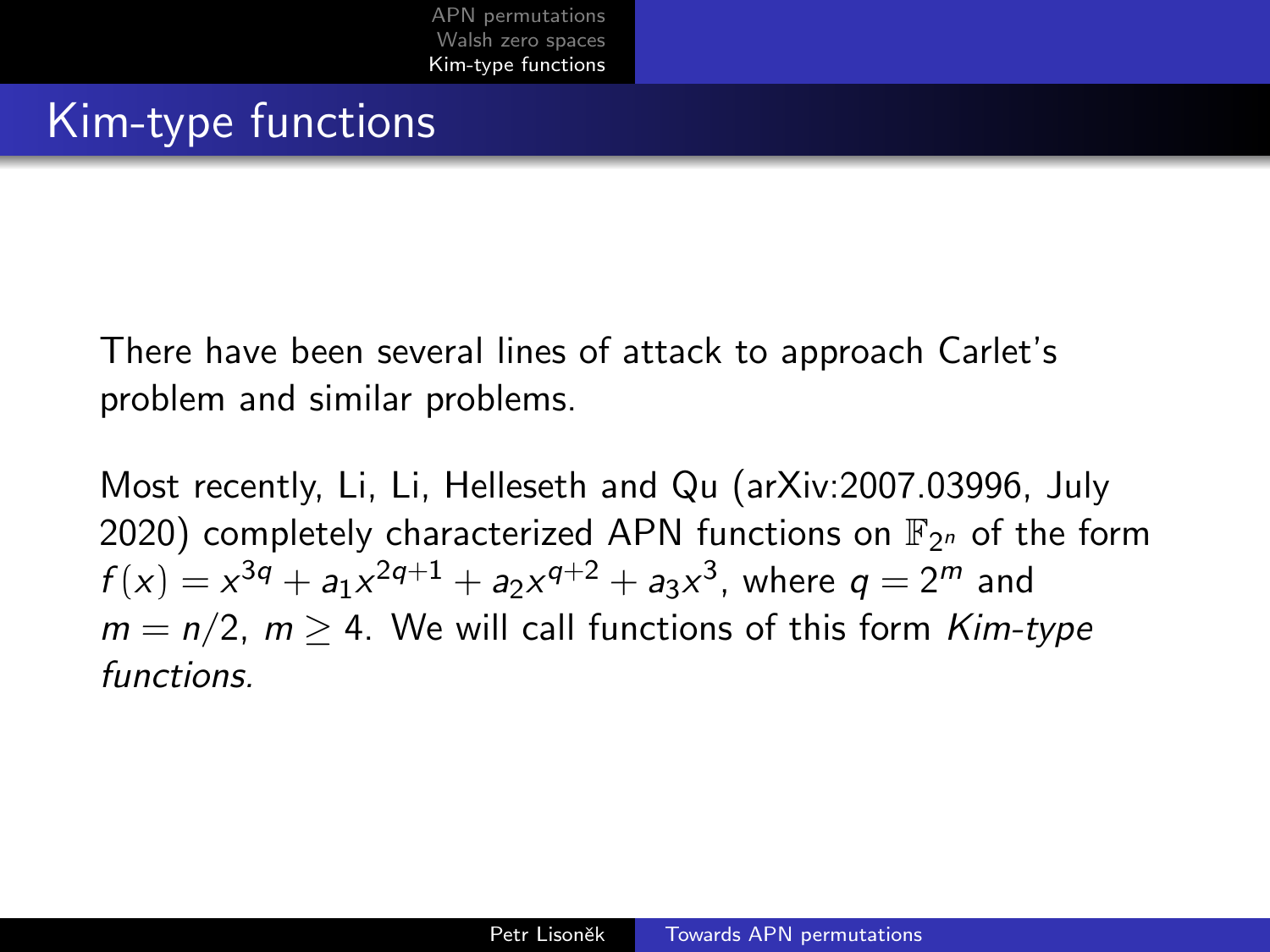### Kim-type functions

There have been several lines of attack to approach Carlet's problem and similar problems.

Most recently, Li, Li, Helleseth and Qu (arXiv:2007.03996, July 2020) completely characterized APN functions on  $\mathbb{F}_{2^n}$  of the form  $f(x) = x^{3q} + a_1x^{2q+1} + a_2x^{q+2} + a_3x^3$ , where  $q = 2^m$  and  $m = n/2$ ,  $m > 4$ . We will call functions of this form Kim-type functions.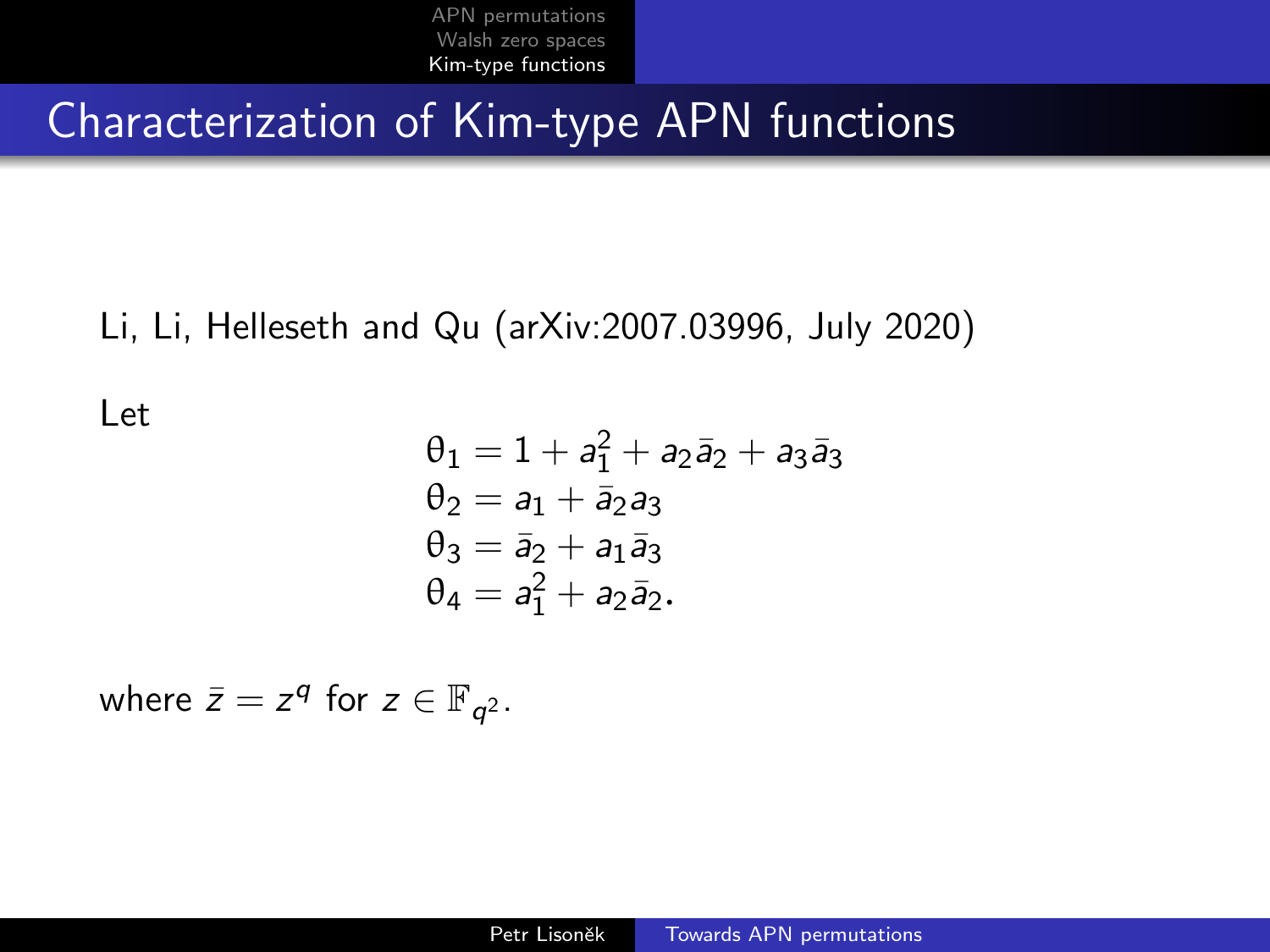Characterization of Kim-type APN functions

Li, Li, Helleseth and Qu (arXiv:2007.03996, July 2020)

Let

$$
\theta_1 = 1 + a_1^2 + a_2 \bar{a}_2 + a_3 \bar{a}_3
$$
  
\n
$$
\theta_2 = a_1 + \bar{a}_2 a_3
$$
  
\n
$$
\theta_3 = \bar{a}_2 + a_1 \bar{a}_3
$$
  
\n
$$
\theta_4 = a_1^2 + a_2 \bar{a}_2.
$$

where  $\bar{z} = z^q$  for  $z \in \mathbb{F}_{q^2}$ .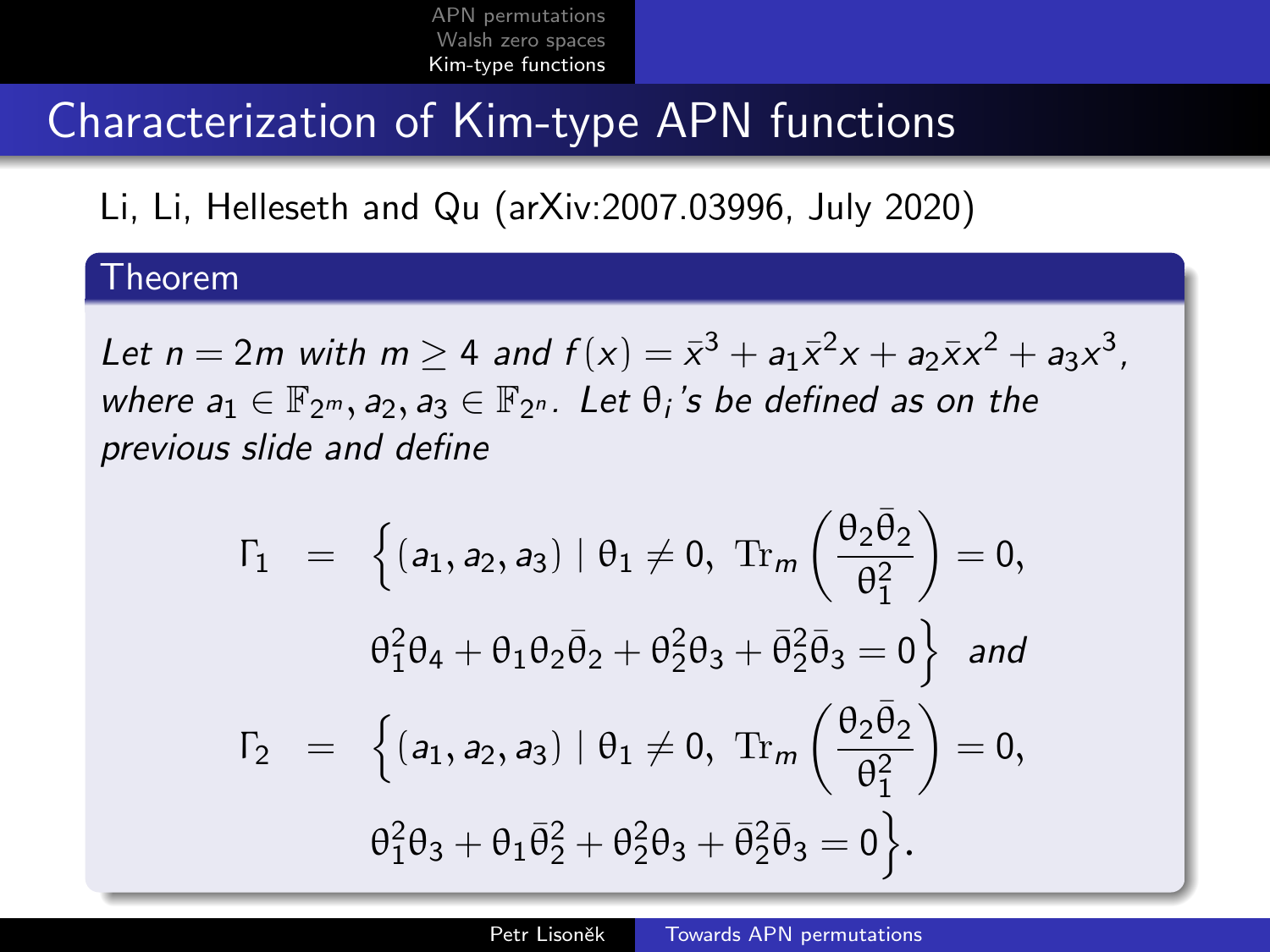### Characterization of Kim-type APN functions

Li, Li, Helleseth and Qu (arXiv:2007.03996, July 2020)

#### Theorem

Let  $n = 2m$  with  $m \ge 4$  and  $f(x) = \bar{x}^3 + a_1 \bar{x}^2 x + a_2 \bar{x} x^2 + a_3 x^3$ , where  $a_1 \in \mathbb{F}_{2^m}, a_2, a_3 \in \mathbb{F}_{2^n}$ . Let  $\theta_i$ 's be defined as on the previous slide and define

$$
\Gamma_1 = \left\{ (a_1, a_2, a_3) | \theta_1 \neq 0, \text{ Tr}_m \left( \frac{\theta_2 \bar{\theta}_2}{\theta_1^2} \right) = 0, \n\theta_1^2 \theta_4 + \theta_1 \theta_2 \bar{\theta}_2 + \theta_2^2 \theta_3 + \bar{\theta}_2^2 \bar{\theta}_3 = 0 \right\} \text{ and} \n\Gamma_2 = \left\{ (a_1, a_2, a_3) | \theta_1 \neq 0, \text{ Tr}_m \left( \frac{\theta_2 \bar{\theta}_2}{\theta_1^2} \right) = 0, \n\theta_1^2 \theta_3 + \theta_1 \bar{\theta}_2^2 + \theta_2^2 \theta_3 + \bar{\theta}_2^2 \bar{\theta}_3 = 0 \right\}.
$$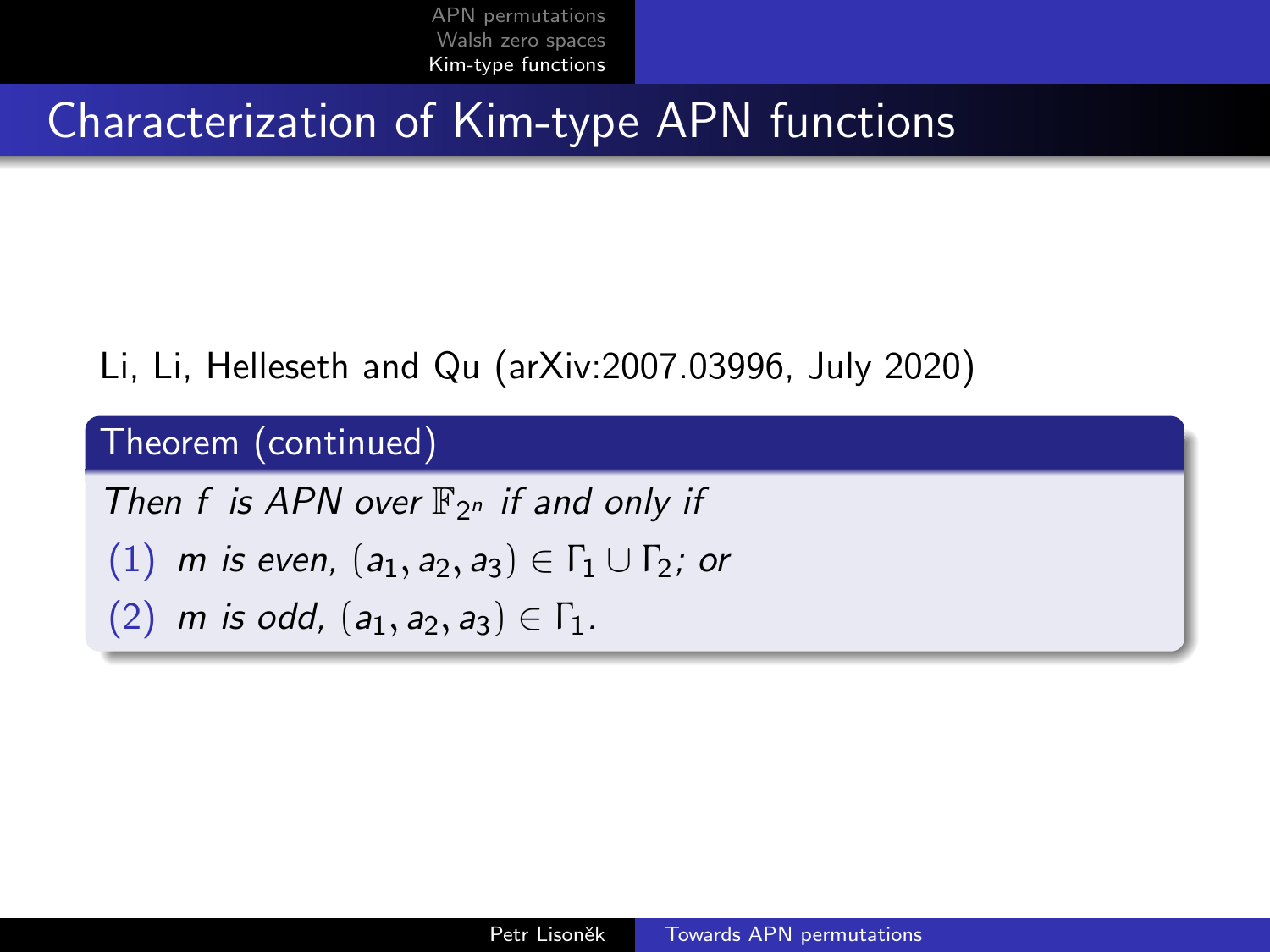### Characterization of Kim-type APN functions

### Li, Li, Helleseth and Qu (arXiv:2007.03996, July 2020)

## Theorem (continued)

Then f is APN over  $\mathbb{F}_{2^n}$  if and only if (1) m is even,  $(a_1, a_2, a_3) \in \Gamma_1 \cup \Gamma_2$ ; or (2) m is odd,  $(a_1, a_2, a_3) \in \Gamma_1$ .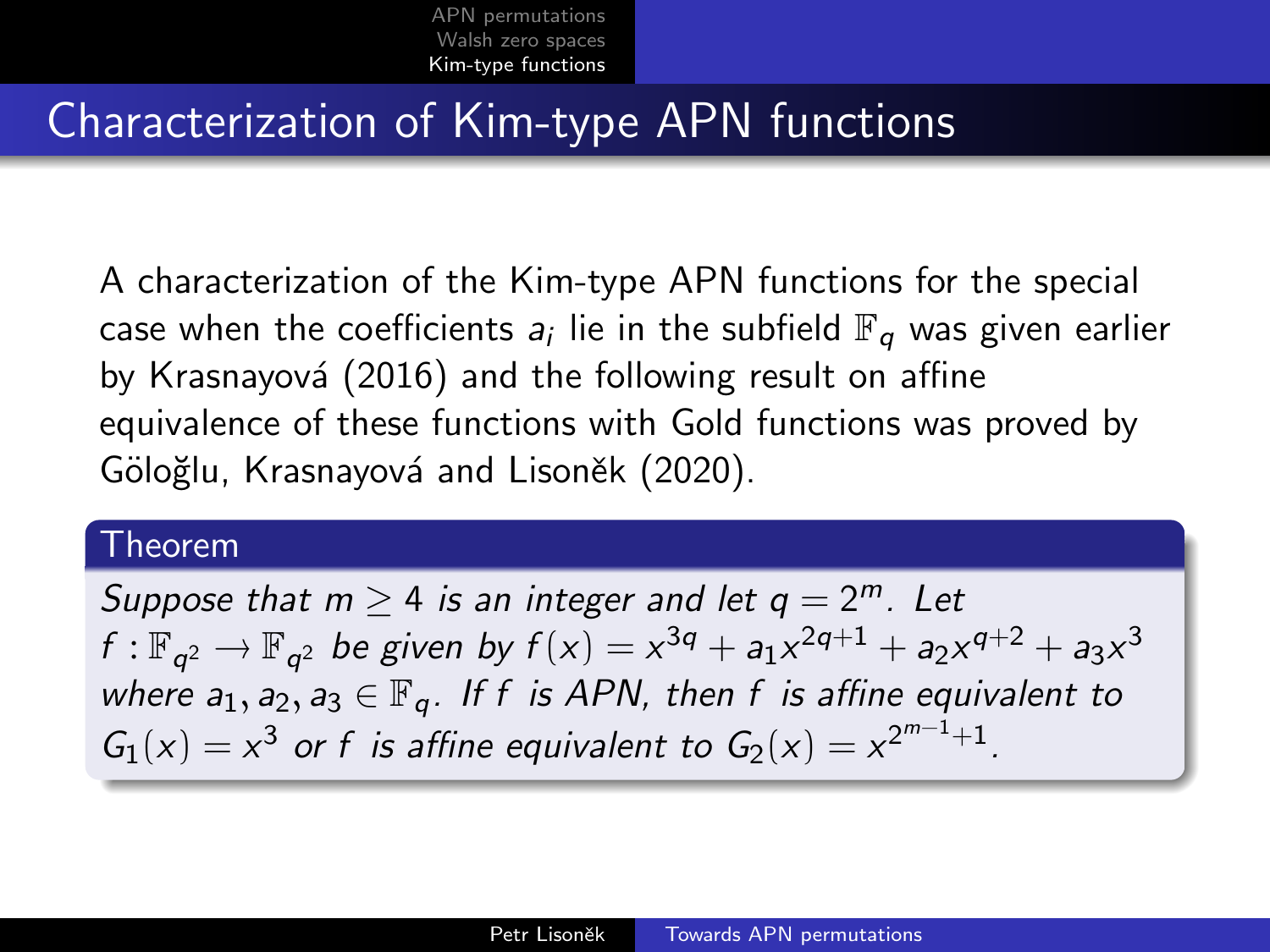### Characterization of Kim-type APN functions

A characterization of the Kim-type APN functions for the special case when the coefficients  $a_i$  lie in the subfield  $\mathbb{F}_q$  was given earlier by Krasnayová (2016) and the following result on affine equivalence of these functions with Gold functions was proved by Göloğlu, Krasnayová and Lisoněk (2020).

#### Theorem

Suppose that  $m \geq 4$  is an integer and let  $q = 2^m$ . Let f :  $\mathbb{F}_{q^2} \to \mathbb{F}_{q^2}$  be given by  $f(x) = x^{3q} + a_1x^{2q+1} + a_2x^{q+2} + a_3x^3$ where  $a_1, a_2, a_3 \in \mathbb{F}_q$ . If f is APN, then f is affine equivalent to  $G_1(x) = x^3$  or f is affine equivalent to  $G_2(x) = x^{2^{m-1}+1}$ .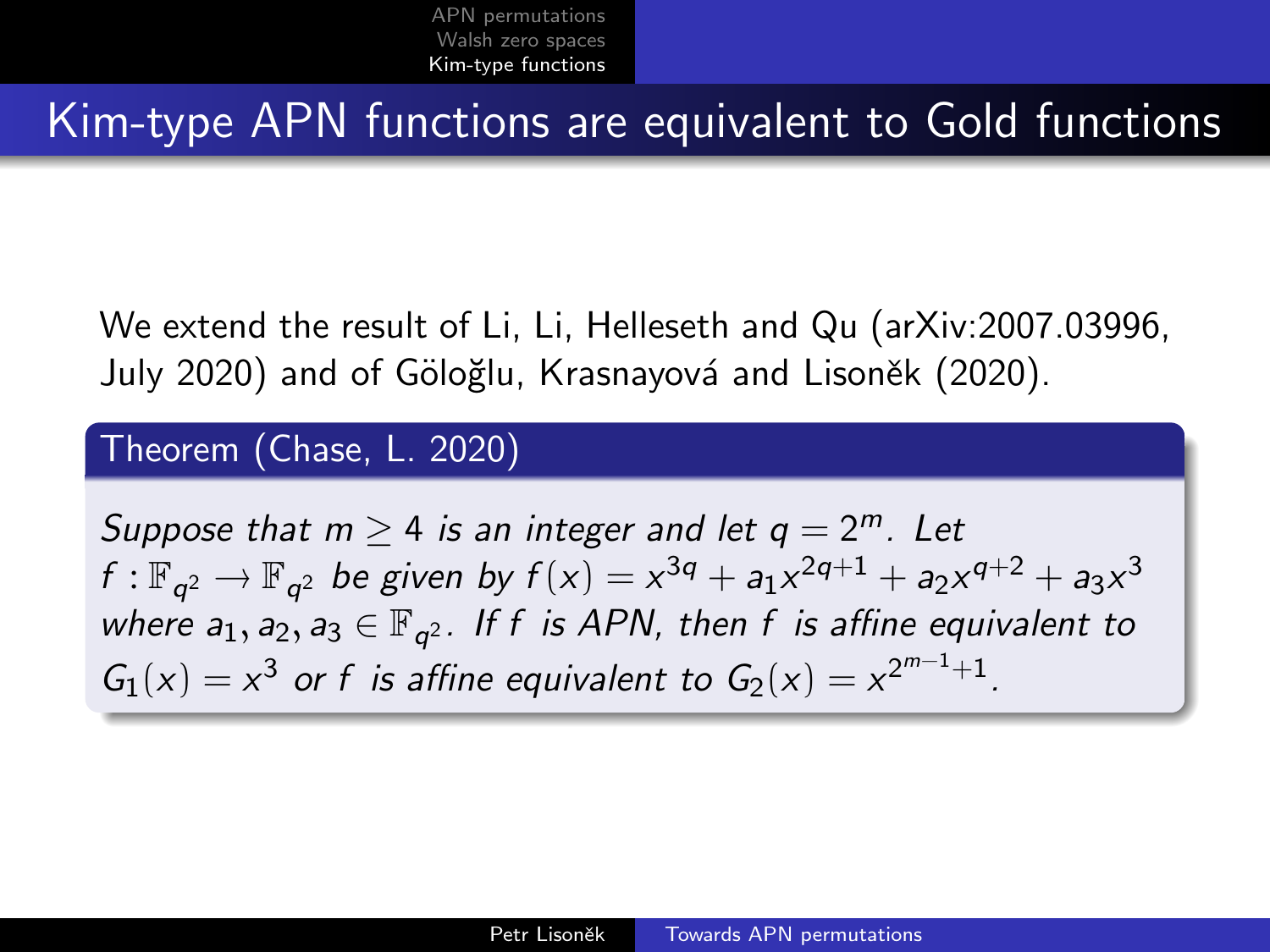### Kim-type APN functions are equivalent to Gold functions

We extend the result of Li, Li, Helleseth and Qu (arXiv:2007.03996, July 2020) and of Göloğlu, Krasnayová and Lisoněk (2020).

#### Theorem (Chase, L. 2020)

Suppose that  $m \geq 4$  is an integer and let  $q = 2^m$ . Let f :  $\mathbb{F}_{q^2} \to \mathbb{F}_{q^2}$  be given by  $f(x) = x^{3q} + a_1x^{2q+1} + a_2x^{q+2} + a_3x^3$ where  $a_1, a_2, a_3 \in \mathbb{F}_{q^2}$ . If f is APN, then f is affine equivalent to  $G_1(x) = x^3$  or f is affine equivalent to  $G_2(x) = x^{2^{m-1}+1}$ .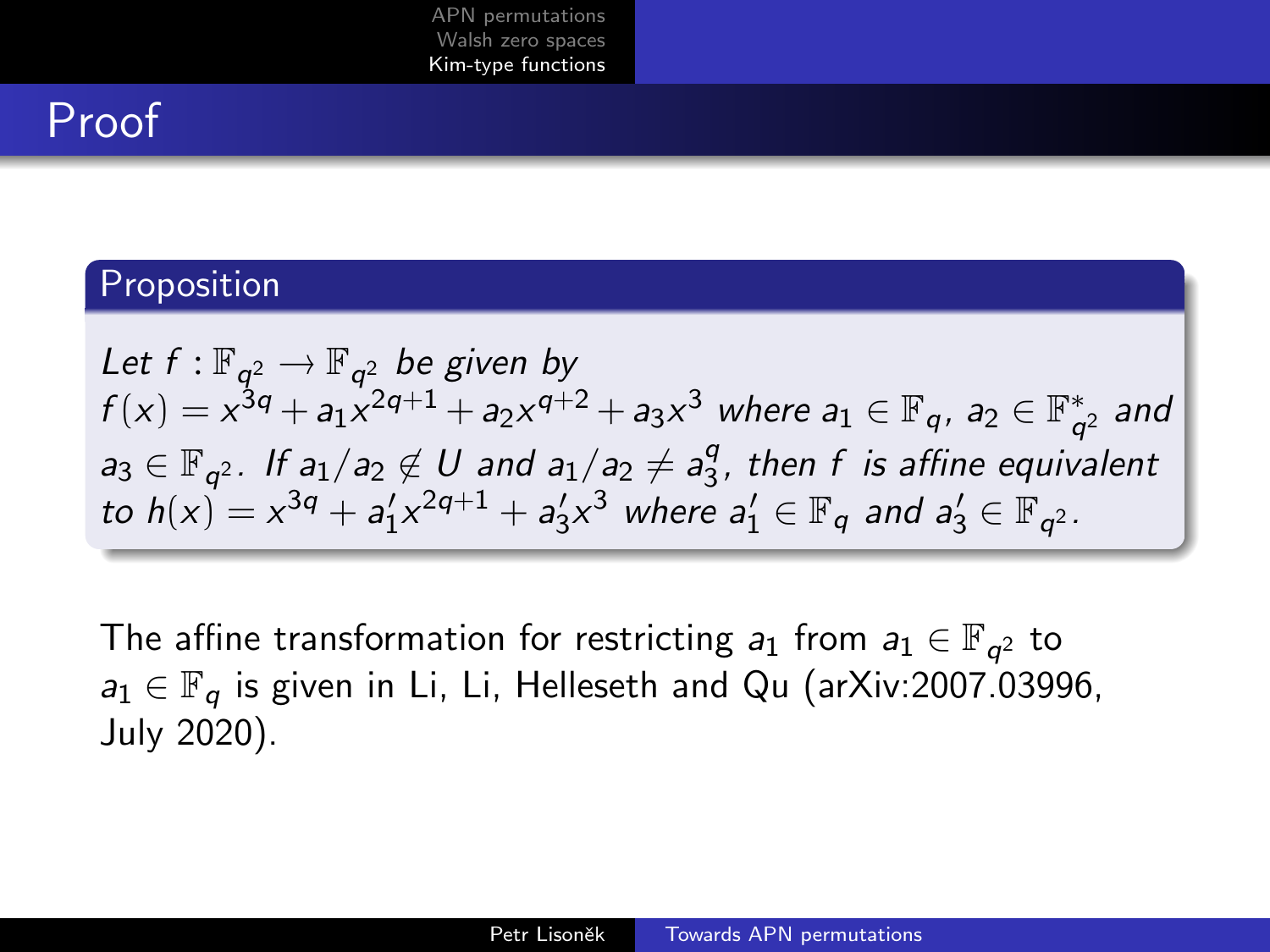## Proof

#### Proposition

Let  $f : \mathbb{F}_{q^2} \to \mathbb{F}_{q^2}$  be given by  $f(x)=x^{3q}+a_1x^{2q+1}+a_2x^{q+2}+a_3x^3$  where  $a_1\in\mathbb{F}_q$ ,  $a_2\in\mathbb{F}_q^*$  $_{q^2}^*$  and  $a_3 \in \mathbb{F}_{q^2}$ . If  $a_1/a_2 \notin U$  and  $a_1/a_2 \neq a_3^q$  $\frac{q}{3}$ , then f is affine equivalent to  $h(x) = x^{3q} + a'_1 x^{2q+1} + a'_3 x^3$  where  $a'_1 \in \mathbb{F}_q$  and  $a'_3 \in \mathbb{F}_{q^2}$ .

The affine transformation for restricting  $a_1$  from  $a_1 \in \mathbb{F}_{q^2}$  to  $a_1 \in \mathbb{F}_q$  is given in Li, Li, Helleseth and Qu (arXiv:2007.03996, July 2020).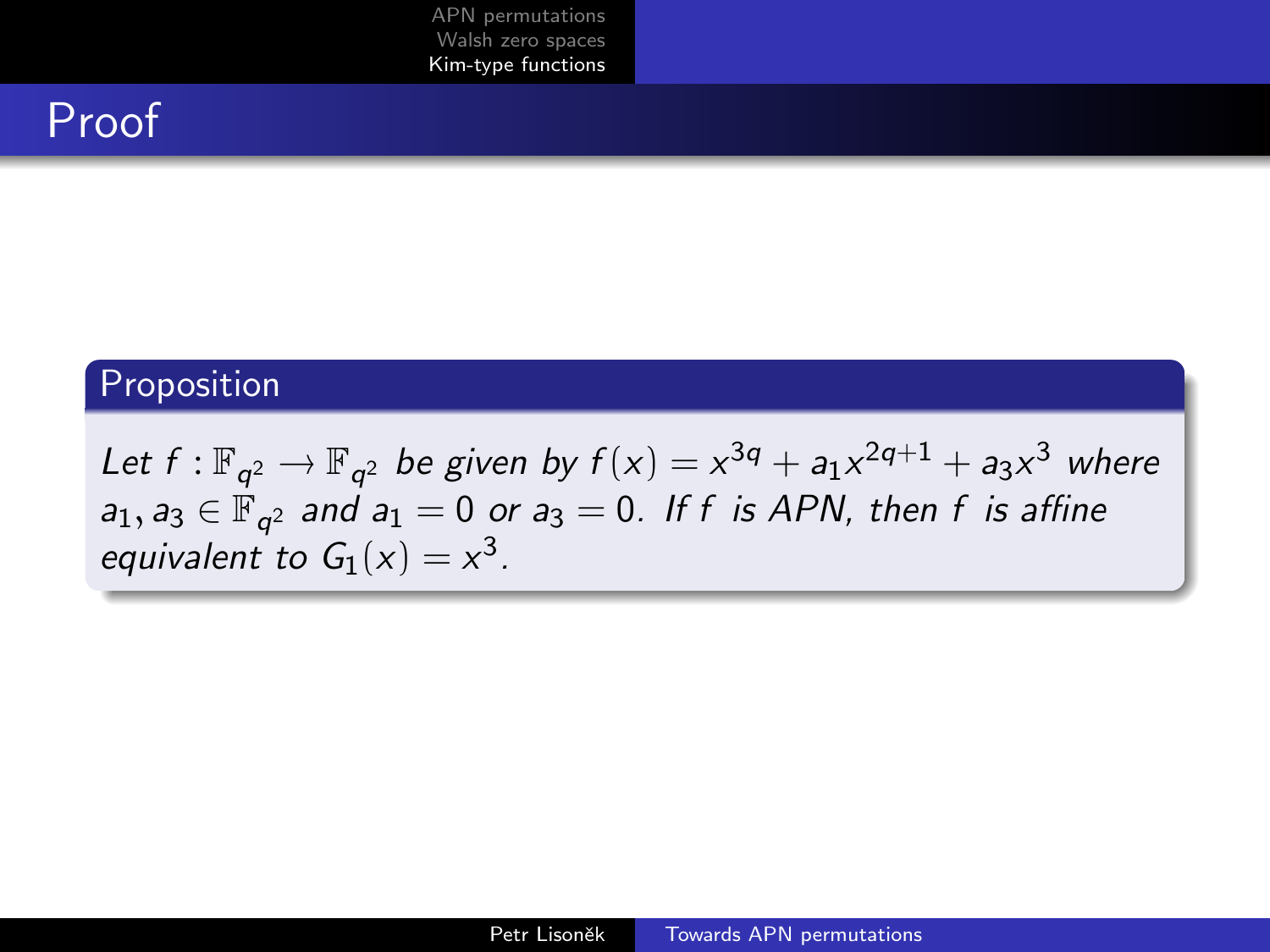## Proof

### Proposition

Let  $f: \mathbb{F}_{q^2} \to \mathbb{F}_{q^2}$  be given by  $f(x) = x^{3q} + a_1x^{2q+1} + a_3x^3$  where  $a_1, a_3 \in \mathbb{F}_{q^2}$  and  $a_1 = 0$  or  $a_3 = 0$ . If f is APN, then f is affine equivalent to  $G_1(x) = x^3$ .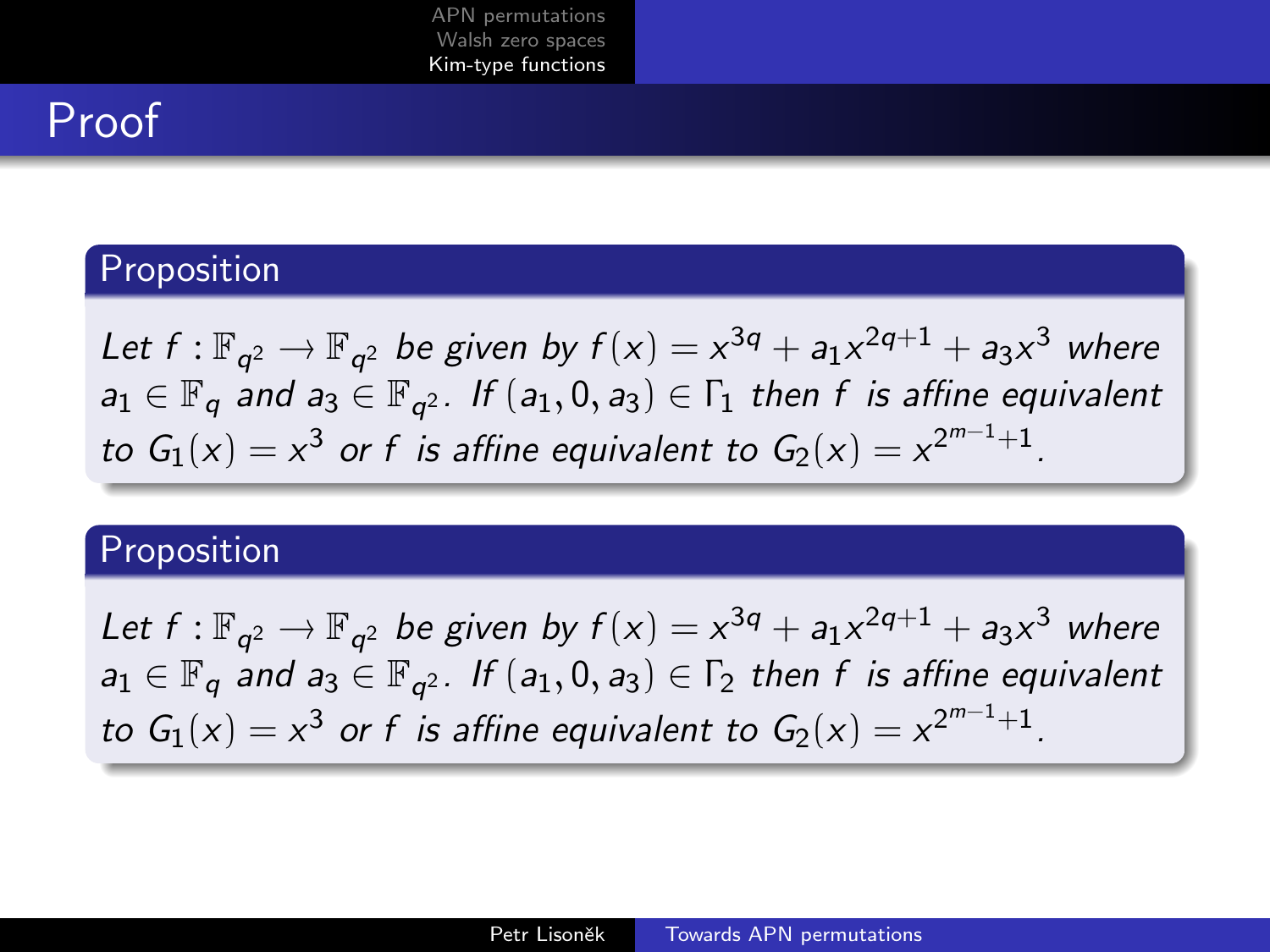## Proof

#### Proposition

Let  $f: \mathbb{F}_{q^2} \to \mathbb{F}_{q^2}$  be given by  $f(x) = x^{3q} + a_1x^{2q+1} + a_3x^3$  where  $a_1\in \mathbb{F}_q$  and  $a_3\in \mathbb{F}_{q^2}$ . If  $(a_1,0,a_3)\in \Gamma_1$  then  $f$  is affine equivalent to  $G_1(x) = x^3$  or f is affine equivalent to  $G_2(x) = x^{2^{m-1}+1}$ .

#### Proposition

Let  $f : \mathbb{F}_{q^2} \to \mathbb{F}_{q^2}$  be given by  $f(x) = x^{3q} + a_1x^{2q+1} + a_3x^3$  where  $a_1 \in \mathbb{F}_q$  and  $a_3 \in \mathbb{F}_{q^2}$ . If  $(a_1, 0, a_3) \in \Gamma_2$  then f is affine equivalent to  $G_1(x) = x^3$  or f is affine equivalent to  $G_2(x) = x^{2^{m-1}+1}$ .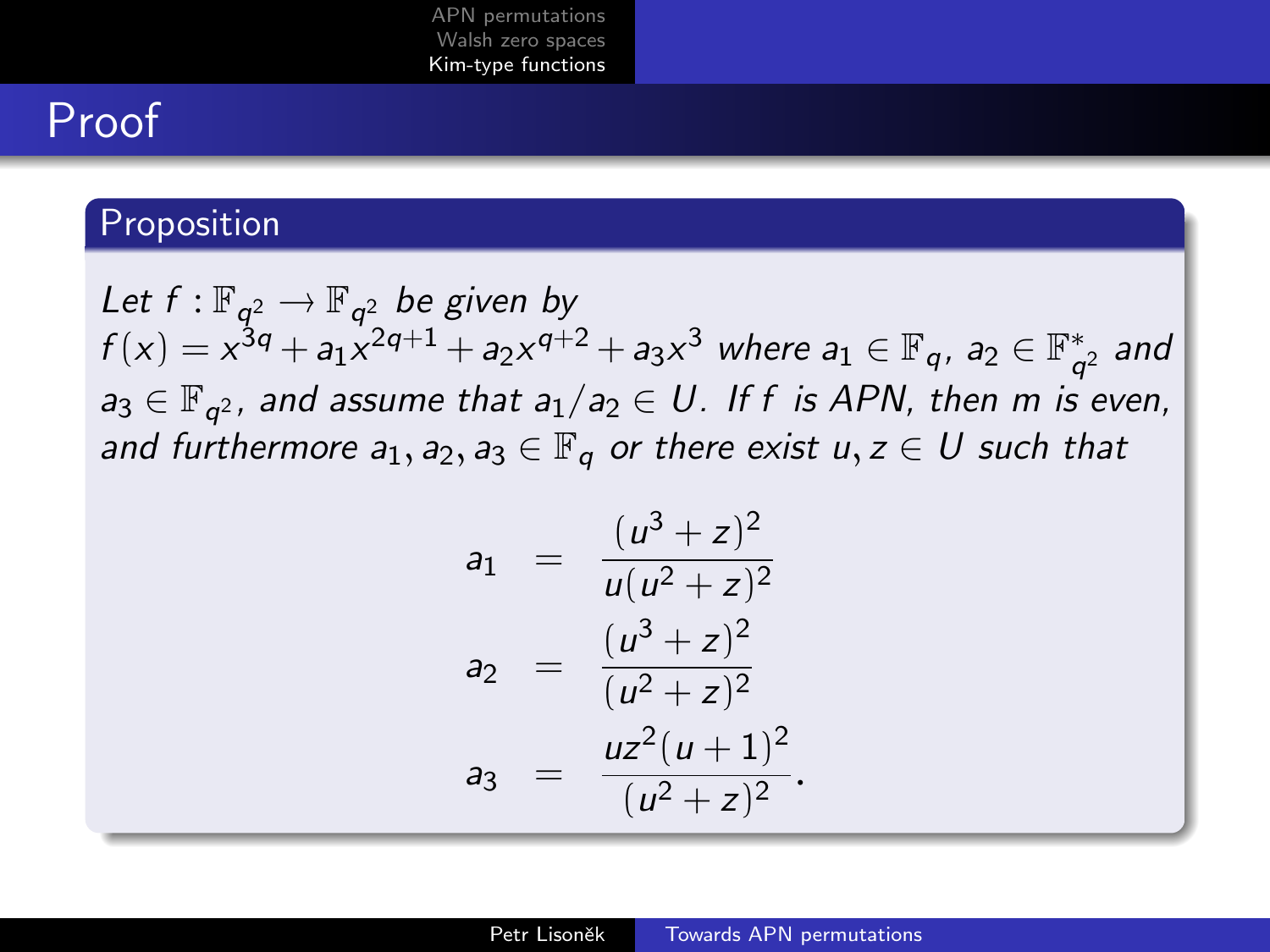## Proof

#### Proposition

Let  $f : \mathbb{F}_{q^2} \to \mathbb{F}_{q^2}$  be given by  $f(x)=x^{3q}+a_1x^{2q+1}+a_2x^{q+2}+a_3x^3$  where  $a_1\in\mathbb{F}_q$ ,  $a_2\in\mathbb{F}_q^*$  $_{q^2}^*$  and  $a_3 \in \mathbb{F}_{q^2}$ , and assume that  $a_1/a_2 \in U$ . If f is APN, then m is even, and furthermore  $a_1, a_2, a_3 \in \mathbb{F}_q$  or there exist  $u, z \in U$  such that

$$
a_1 = \frac{(u^3 + z)^2}{u(u^2 + z)^2}
$$
  
\n
$$
a_2 = \frac{(u^3 + z)^2}{(u^2 + z)^2}
$$
  
\n
$$
a_3 = \frac{uz^2(u + 1)^2}{(u^2 + z)^2}
$$

.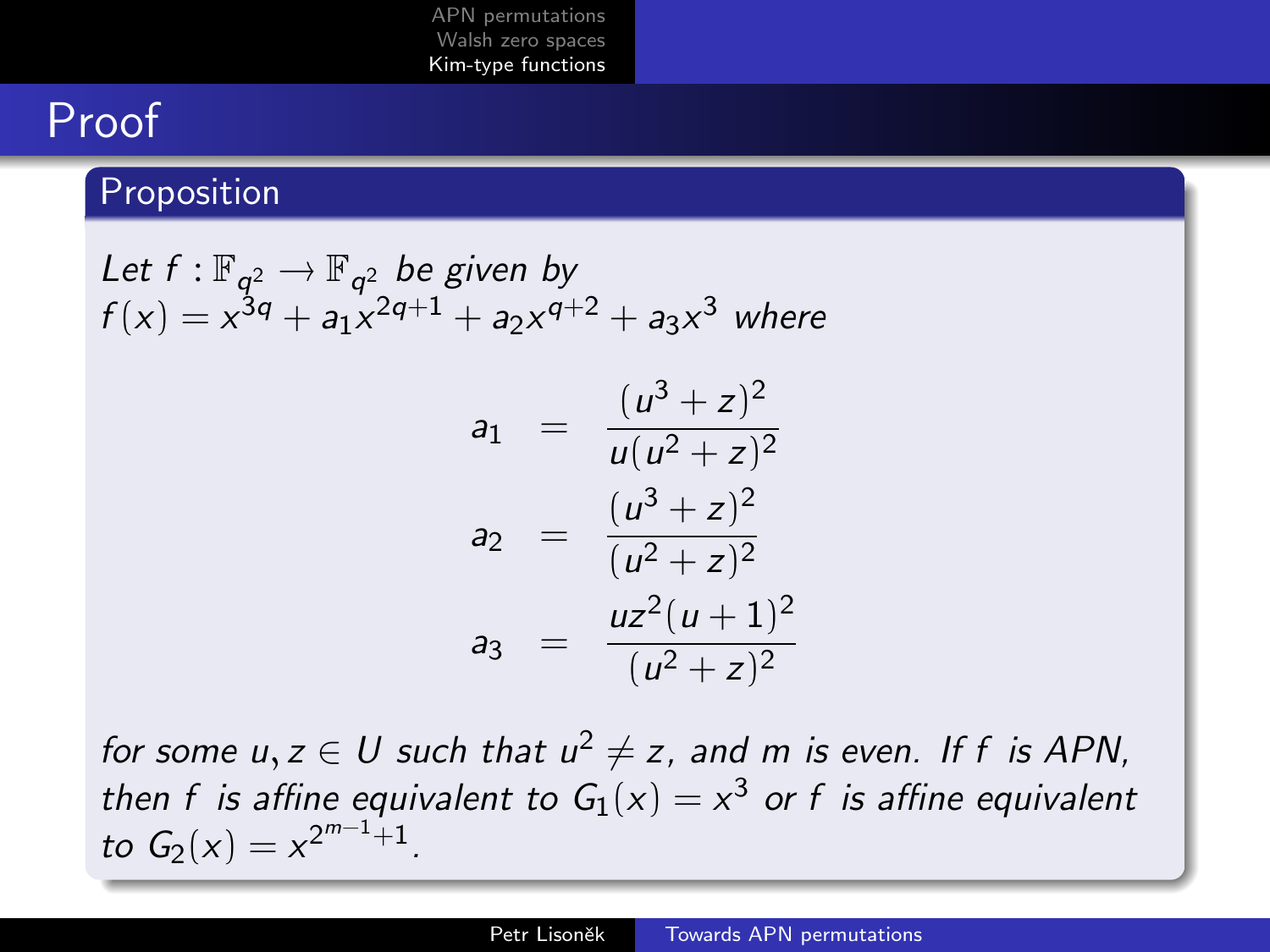## Proof

### **Proposition**

Let 
$$
f: \mathbb{F}_{q^2} \to \mathbb{F}_{q^2}
$$
 be given by  
\n $f(x) = x^{3q} + a_1 x^{2q+1} + a_2 x^{q+2} + a_3 x^3$  where  
\n $a_1 = \frac{(u^3 + z)^2}{u(u^2 + z)^2}$ 

$$
a_2 = \frac{(u^3 + z)^2}{(u^2 + z)^2}
$$
  

$$
a_3 = \frac{uz^2(u+1)^2}{(u^2 + z)^2}
$$

for some  $u, z \in U$  such that  $u^2 \neq z$ , and m is even. If f is APN, then f is affine equivalent to  $G_1(x) = x^3$  or f is affine equivalent to  $G_2(x) = x^{2^{m-1}+1}$ .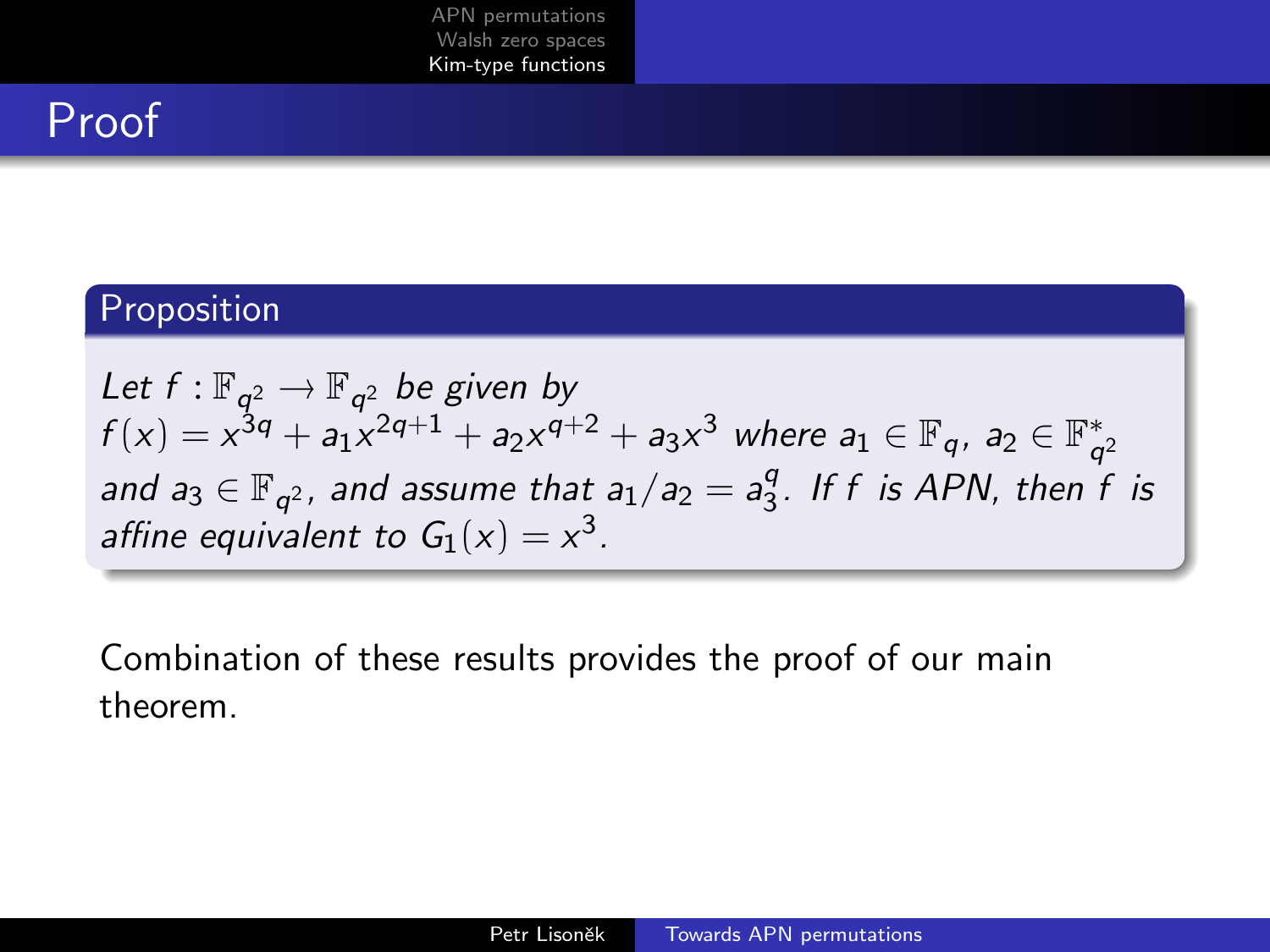## Proof

### Proposition

Let  $f : \mathbb{F}_{q^2} \to \mathbb{F}_{q^2}$  be given by  $f(x)=x^{3q}+a_1x^{2q+1}+a_2x^{q+2}+a_3x^3$  where  $a_1\in\mathbb{F}_q$ ,  $a_2\in\mathbb{F}_q^*$  $q^2$ and  $a_3 \in \mathbb{F}_{q^2}$ , and assume that  $a_1/a_2 = a_3^q$  $\frac{q}{3}$ . If f is APN, then f is affine equivalent to  $G_1(x) = x^3$ .

Combination of these results provides the proof of our main theorem.